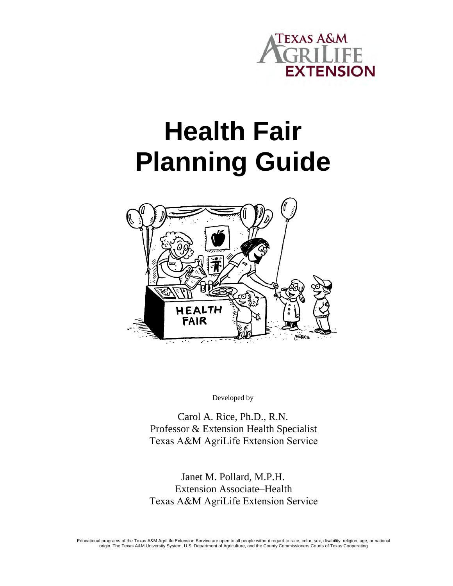

# **Health Fair Planning Guide**



Developed by

Carol A. Rice, Ph.D., R.N. Professor & Extension Health Specialist Texas A&M AgriLife Extension Service

Janet M. Pollard, M.P.H. Extension Associate–Health Texas A&M AgriLife Extension Service

Educational programs of the Texas A&M AgriLife Extension Service are open to all people without regard to race, color, sex, disability, religion, age, or national<br>origin. The Texas A&M University System, U.S. Department of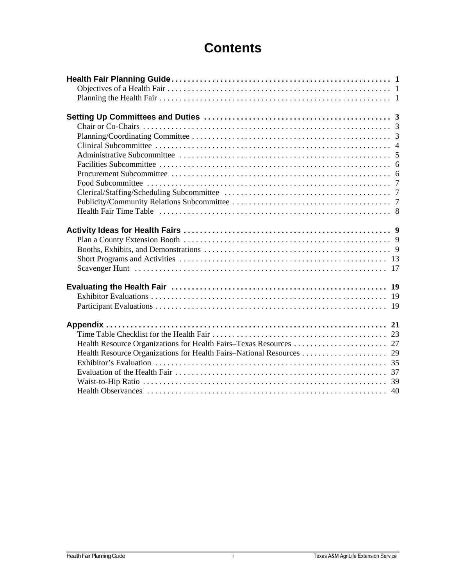## **Contents**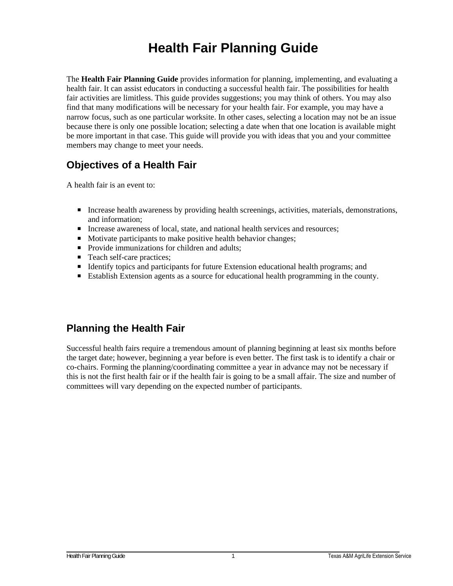## **Health Fair Planning Guide**

The **Health Fair Planning Guide** provides information for planning, implementing, and evaluating a health fair. It can assist educators in conducting a successful health fair. The possibilities for health fair activities are limitless. This guide provides suggestions; you may think of others. You may also find that many modifications will be necessary for your health fair. For example, you may have a narrow focus, such as one particular worksite. In other cases, selecting a location may not be an issue because there is only one possible location; selecting a date when that one location is available might be more important in that case. This guide will provide you with ideas that you and your committee members may change to meet your needs.

## **Objectives of a Health Fair**

A health fair is an event to:

- **P** Increase health awareness by providing health screenings, activities, materials, demonstrations, and information;
- **P** Increase awareness of local, state, and national health services and resources;
- Motivate participants to make positive health behavior changes;
- $\blacksquare$  Provide immunizations for children and adults;
- Teach self-care practices;
- P Identify topics and participants for future Extension educational health programs; and
- P Establish Extension agents as a source for educational health programming in the county.

### **Planning the Health Fair**

Successful health fairs require a tremendous amount of planning beginning at least six months before the target date; however, beginning a year before is even better. The first task is to identify a chair or co-chairs. Forming the planning/coordinating committee a year in advance may not be necessary if this is not the first health fair or if the health fair is going to be a small affair. The size and number of committees will vary depending on the expected number of participants.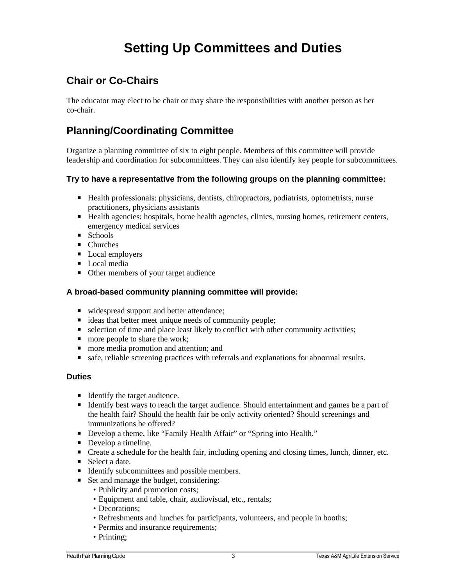## **Setting Up Committees and Duties**

## **Chair or Co-Chairs**

The educator may elect to be chair or may share the responsibilities with another person as her co-chair.

### **Planning/Coordinating Committee**

Organize a planning committee of six to eight people. Members of this committee will provide leadership and coordination for subcommittees. They can also identify key people for subcommittees.

#### **Try to have a representative from the following groups on the planning committee:**

- P Health professionals: physicians, dentists, chiropractors, podiatrists, optometrists, nurse practitioners, physicians assistants
- P Health agencies: hospitals, home health agencies, clinics, nursing homes, retirement centers, emergency medical services
- $\blacksquare$  Schools
- Churches
- **Local employers**
- **•** Local media
- Other members of your target audience

#### **A broad-based community planning committee will provide:**

- widespread support and better attendance;
- ideas that better meet unique needs of community people;
- $\blacksquare$  selection of time and place least likely to conflict with other community activities;
- more people to share the work;
- more media promotion and attention; and
- P safe, reliable screening practices with referrals and explanations for abnormal results.

#### **Duties**

- Identify the target audience.
- **P** Identify best ways to reach the target audience. Should entertainment and games be a part of the health fair? Should the health fair be only activity oriented? Should screenings and immunizations be offered?
- Develop a theme, like "Family Health Affair" or "Spring into Health."
- $\blacksquare$  Develop a timeline.
- Create a schedule for the health fair, including opening and closing times, lunch, dinner, etc.
- $\blacksquare$  Select a date.
- Identify subcommittees and possible members.
- Set and manage the budget, considering:
	- Publicity and promotion costs;
	- Equipment and table, chair, audiovisual, etc., rentals;
	- Decorations;
	- Refreshments and lunches for participants, volunteers, and people in booths;
	- Permits and insurance requirements;
	- Printing;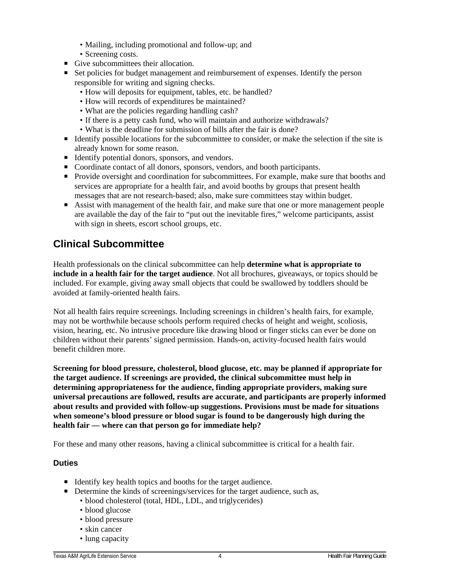- Mailing, including promotional and follow-up; and
- Screening costs.
- Give subcommittees their allocation.
- **P** Set policies for budget management and reimbursement of expenses. Identify the person responsible for writing and signing checks.
	- How will deposits for equipment, tables, etc. be handled?
	- How will records of expenditures be maintained?
	- What are the policies regarding handling cash?
	- If there is a petty cash fund, who will maintain and authorize withdrawals?
	- What is the deadline for submission of bills after the fair is done?
- **P** Identify possible locations for the subcommittee to consider, or make the selection if the site is already known for some reason.
- Identify potential donors, sponsors, and vendors.
- Coordinate contact of all donors, sponsors, vendors, and booth participants.
- **Provide oversight and coordination for subcommittees. For example, make sure that booths and** services are appropriate for a health fair, and avoid booths by groups that present health messages that are not research-based; also, make sure committees stay within budget.
- P Assist with management of the health fair, and make sure that one or more management people are available the day of the fair to "put out the inevitable fires," welcome participants, assist with sign in sheets, escort school groups, etc.

## **Clinical Subcommittee**

Health professionals on the clinical subcommittee can help **determine what is appropriate to include in a health fair for the target audience**. Not all brochures, giveaways, or topics should be included. For example, giving away small objects that could be swallowed by toddlers should be avoided at family-oriented health fairs.

Not all health fairs require screenings. Including screenings in children's health fairs, for example, may not be worthwhile because schools perform required checks of height and weight, scoliosis, vision, hearing, etc. No intrusive procedure like drawing blood or finger sticks can ever be done on children without their parents' signed permission. Hands-on, activity-focused health fairs would benefit children more.

**Screening for blood pressure, cholesterol, blood glucose, etc. may be planned if appropriate for the target audience. If screenings are provided, the clinical subcommittee must help in determining appropriateness for the audience, finding appropriate providers, making sure universal precautions are followed, results are accurate, and participants are properly informed about results and provided with follow-up suggestions. Provisions must be made for situations when someone's blood pressure or blood sugar is found to be dangerously high during the health fair — where can that person go for immediate help?**

For these and many other reasons, having a clinical subcommittee is critical for a health fair.

#### **Duties**

- P Identify key health topics and booths for the target audience.
- **P** Determine the kinds of screenings/services for the target audience, such as,
	- blood cholesterol (total, HDL, LDL, and triglycerides)
	- blood glucose
	- blood pressure
	- skin cancer
	- lung capacity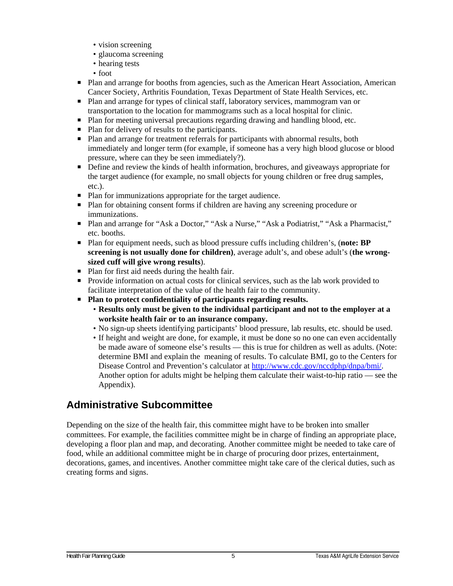- vision screening
- glaucoma screening
- hearing tests
- foot
- **Plan and arrange for booths from agencies, such as the American Heart Association, American** Cancer Society, Arthritis Foundation, Texas Department of State Health Services, etc.
- **Plan and arrange for types of clinical staff, laboratory services, mammogram van or** transportation to the location for mammograms such as a local hospital for clinic.
- Plan for meeting universal precautions regarding drawing and handling blood, etc.
- $\blacksquare$  Plan for delivery of results to the participants.
- Plan and arrange for treatment referrals for participants with abnormal results, both immediately and longer term (for example, if someone has a very high blood glucose or blood pressure, where can they be seen immediately?).
- **P** Define and review the kinds of health information, brochures, and giveaways appropriate for the target audience (for example, no small objects for young children or free drug samples, etc.).
- $\blacksquare$  Plan for immunizations appropriate for the target audience.
- Plan for obtaining consent forms if children are having any screening procedure or immunizations.
- Plan and arrange for "Ask a Doctor," "Ask a Nurse," "Ask a Podiatrist," "Ask a Pharmacist," etc. booths.
- **Plan for equipment needs, such as blood pressure cuffs including children's, (note: BP screening is not usually done for children)**, average adult's, and obese adult's (**the wrongsized cuff will give wrong results**).
- Plan for first aid needs during the health fair.
- Provide information on actual costs for clinical services, such as the lab work provided to facilitate interpretation of the value of the health fair to the community.
- **Plan to protect confidentiality of participants regarding results.** 
	- **Results only must be given to the individual participant and not to the employer at a worksite health fair or to an insurance company.**
	- No sign-up sheets identifying participants' blood pressure, lab results, etc. should be used.
	- If height and weight are done, for example, it must be done so no one can even accidentally be made aware of someone else's results — this is true for children as well as adults. (Note: determine BMI and explain the meaning of results. To calculate BMI, go to the Centers for Disease Control and Prevention's calculator at http://www.cdc.gov/nccdphp/dnpa/bmi/. Another option for adults might be helping them calculate their waist-to-hip ratio — see the Appendix).

## **Administrative Subcommittee**

Depending on the size of the health fair, this committee might have to be broken into smaller committees. For example, the facilities committee might be in charge of finding an appropriate place, developing a floor plan and map, and decorating. Another committee might be needed to take care of food, while an additional committee might be in charge of procuring door prizes, entertainment, decorations, games, and incentives. Another committee might take care of the clerical duties, such as creating forms and signs.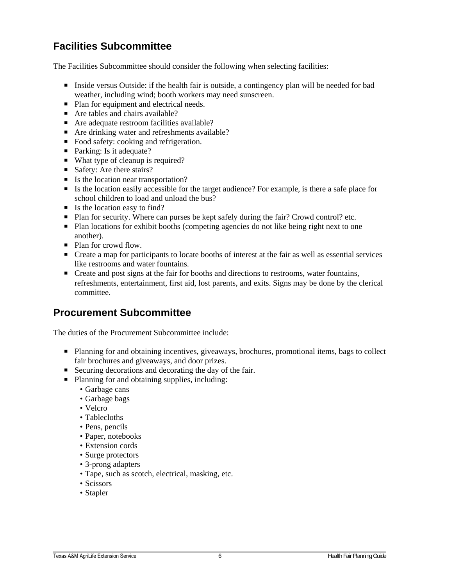## **Facilities Subcommittee**

The Facilities Subcommittee should consider the following when selecting facilities:

- P Inside versus Outside: if the health fair is outside, a contingency plan will be needed for bad weather, including wind; booth workers may need sunscreen.
- $\blacksquare$  Plan for equipment and electrical needs.
- $\blacksquare$  Are tables and chairs available?
- Are adequate restroom facilities available?
- $\blacksquare$  Are drinking water and refreshments available?
- Food safety: cooking and refrigeration.
- $\blacksquare$  Parking: Is it adequate?
- What type of cleanup is required?
- $\blacksquare$  Safety: Are there stairs?
- Is the location near transportation?
- P Is the location easily accessible for the target audience? For example, is there a safe place for school children to load and unload the bus?
- $\blacksquare$  Is the location easy to find?
- Plan for security. Where can purses be kept safely during the fair? Crowd control? etc.
- Plan locations for exhibit booths (competing agencies do not like being right next to one another).
- $\blacksquare$  Plan for crowd flow.
- P Create a map for participants to locate booths of interest at the fair as well as essential services like restrooms and water fountains.
- P Create and post signs at the fair for booths and directions to restrooms, water fountains, refreshments, entertainment, first aid, lost parents, and exits. Signs may be done by the clerical committee.

### **Procurement Subcommittee**

The duties of the Procurement Subcommittee include:

- Planning for and obtaining incentives, giveaways, brochures, promotional items, bags to collect fair brochures and giveaways, and door prizes.
- P Securing decorations and decorating the day of the fair.
- $\blacksquare$  Planning for and obtaining supplies, including:
	- Garbage cans
	- Garbage bags
	- Velcro
	- Tablecloths
	- Pens, pencils
	- Paper, notebooks
	- Extension cords
	- Surge protectors
	- 3-prong adapters
	- Tape, such as scotch, electrical, masking, etc.
	- Scissors
	- Stapler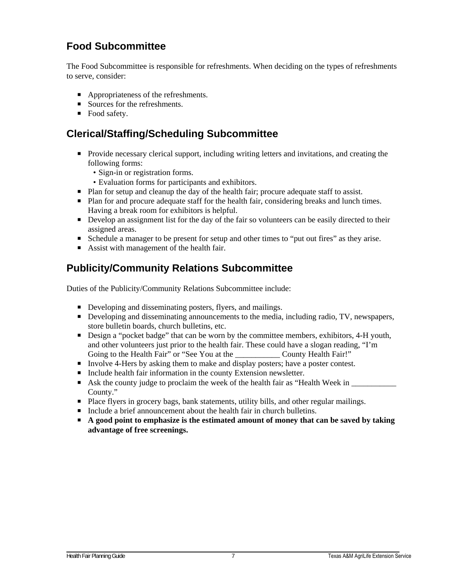## **Food Subcommittee**

The Food Subcommittee is responsible for refreshments. When deciding on the types of refreshments to serve, consider:

- **P** Appropriateness of the refreshments.
- Sources for the refreshments.
- $\blacksquare$  Food safety.

### **Clerical/Staffing/Scheduling Subcommittee**

- Provide necessary clerical support, including writing letters and invitations, and creating the following forms:
	- Sign-in or registration forms.
	- Evaluation forms for participants and exhibitors.
- Plan for setup and cleanup the day of the health fair; procure adequate staff to assist.
- Plan for and procure adequate staff for the health fair, considering breaks and lunch times. Having a break room for exhibitors is helpful.
- **P** Develop an assignment list for the day of the fair so volunteers can be easily directed to their assigned areas.
- P Schedule a manager to be present for setup and other times to "put out fires" as they arise.
- **P** Assist with management of the health fair.

## **Publicity/Community Relations Subcommittee**

Duties of the Publicity/Community Relations Subcommittee include:

- **P** Developing and disseminating posters, flyers, and mailings.
- **P** Developing and disseminating announcements to the media, including radio, TV, newspapers, store bulletin boards, church bulletins, etc.
- **P** Design a "pocket badge" that can be worn by the committee members, exhibitors, 4-H youth, and other volunteers just prior to the health fair. These could have a slogan reading, "I'm Going to the Health Fair" or "See You at the County Health Fair!"
- **P** Involve 4-Hers by asking them to make and display posters; have a poster contest.
- **P** Include health fair information in the county Extension newsletter.
- Ask the county judge to proclaim the week of the health fair as "Health Week in \_ County."
- **Place flyers in grocery bags, bank statements, utility bills, and other regular mailings.**
- P Include a brief announcement about the health fair in church bulletins.
- P **A good point to emphasize is the estimated amount of money that can be saved by taking advantage of free screenings.**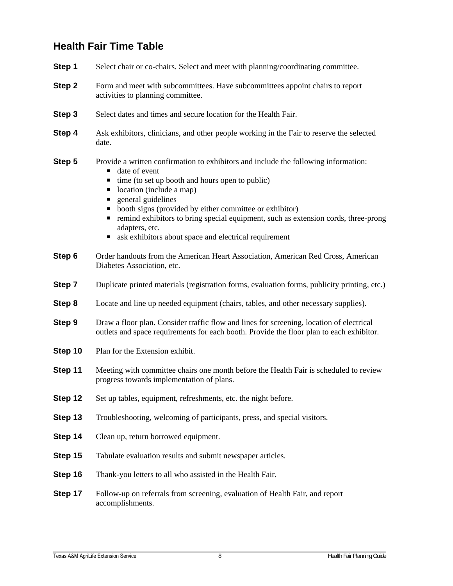### **Health Fair Time Table**

| Step 1  | Select chair or co-chairs. Select and meet with planning/coordinating committee.                                                                                                                                                                                                                                                                                                                                                                                    |
|---------|---------------------------------------------------------------------------------------------------------------------------------------------------------------------------------------------------------------------------------------------------------------------------------------------------------------------------------------------------------------------------------------------------------------------------------------------------------------------|
| Step 2  | Form and meet with subcommittees. Have subcommittees appoint chairs to report<br>activities to planning committee.                                                                                                                                                                                                                                                                                                                                                  |
| Step 3  | Select dates and times and secure location for the Health Fair.                                                                                                                                                                                                                                                                                                                                                                                                     |
| Step 4  | Ask exhibitors, clinicians, and other people working in the Fair to reserve the selected<br>date.                                                                                                                                                                                                                                                                                                                                                                   |
| Step 5  | Provide a written confirmation to exhibitors and include the following information:<br>date of event<br>٠<br>time (to set up booth and hours open to public)<br>п<br>location (include a map)<br>п<br>general guidelines<br>booth signs (provided by either committee or exhibitor)<br>п<br>remind exhibitors to bring special equipment, such as extension cords, three-prong<br>п<br>adapters, etc.<br>ask exhibitors about space and electrical requirement<br>п |
| Step 6  | Order handouts from the American Heart Association, American Red Cross, American<br>Diabetes Association, etc.                                                                                                                                                                                                                                                                                                                                                      |
| Step 7  | Duplicate printed materials (registration forms, evaluation forms, publicity printing, etc.)                                                                                                                                                                                                                                                                                                                                                                        |
| Step 8  | Locate and line up needed equipment (chairs, tables, and other necessary supplies).                                                                                                                                                                                                                                                                                                                                                                                 |
| Step 9  | Draw a floor plan. Consider traffic flow and lines for screening, location of electrical<br>outlets and space requirements for each booth. Provide the floor plan to each exhibitor.                                                                                                                                                                                                                                                                                |
| Step 10 | Plan for the Extension exhibit.                                                                                                                                                                                                                                                                                                                                                                                                                                     |
| Step 11 | Meeting with committee chairs one month before the Health Fair is scheduled to review<br>progress towards implementation of plans.                                                                                                                                                                                                                                                                                                                                  |
| Step 12 | Set up tables, equipment, refreshments, etc. the night before.                                                                                                                                                                                                                                                                                                                                                                                                      |
| Step 13 | Troubleshooting, welcoming of participants, press, and special visitors.                                                                                                                                                                                                                                                                                                                                                                                            |
| Step 14 | Clean up, return borrowed equipment.                                                                                                                                                                                                                                                                                                                                                                                                                                |
| Step 15 | Tabulate evaluation results and submit newspaper articles.                                                                                                                                                                                                                                                                                                                                                                                                          |
| Step 16 | Thank-you letters to all who assisted in the Health Fair.                                                                                                                                                                                                                                                                                                                                                                                                           |
| Step 17 | Follow-up on referrals from screening, evaluation of Health Fair, and report<br>accomplishments.                                                                                                                                                                                                                                                                                                                                                                    |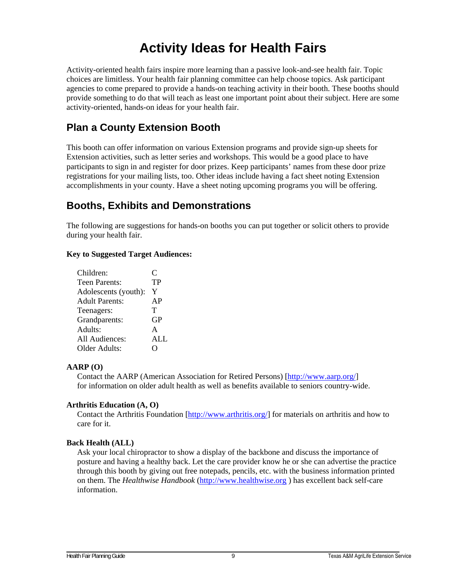## **Activity Ideas for Health Fairs**

Activity-oriented health fairs inspire more learning than a passive look-and-see health fair. Topic choices are limitless. Your health fair planning committee can help choose topics. Ask participant agencies to come prepared to provide a hands-on teaching activity in their booth. These booths should provide something to do that will teach as least one important point about their subject. Here are some activity-oriented, hands-on ideas for your health fair.

### **Plan a County Extension Booth**

This booth can offer information on various Extension programs and provide sign-up sheets for Extension activities, such as letter series and workshops. This would be a good place to have participants to sign in and register for door prizes. Keep participants' names from these door prize registrations for your mailing lists, too. Other ideas include having a fact sheet noting Extension accomplishments in your county. Have a sheet noting upcoming programs you will be offering.

### **Booths, Exhibits and Demonstrations**

The following are suggestions for hands-on booths you can put together or solicit others to provide during your health fair.

#### **Key to Suggested Target Audiences:**

| Children:             |            |
|-----------------------|------------|
| Teen Parents:         | TP         |
| Adolescents (youth):  | Y          |
| <b>Adult Parents:</b> | AP         |
| Teenagers:            | т          |
| Grandparents:         | GP         |
| Adults:               | A          |
| All Audiences:        | <b>ALL</b> |
| Older Adults:         |            |

#### **AARP (O)**

Contact the AARP (American Association for Retired Persons) [http://www.aarp.org/] for information on older adult health as well as benefits available to seniors country-wide.

#### **Arthritis Education (A, O)**

Contact the Arthritis Foundation [http://www.arthritis.org/] for materials on arthritis and how to care for it.

#### **Back Health (ALL)**

Ask your local chiropractor to show a display of the backbone and discuss the importance of posture and having a healthy back. Let the care provider know he or she can advertise the practice through this booth by giving out free notepads, pencils, etc. with the business information printed on them. The *Healthwise Handbook* (http://www.healthwise.org ) has excellent back self-care information.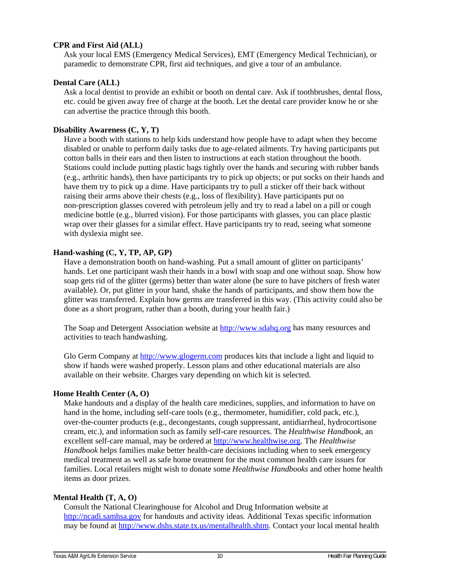#### **CPR and First Aid (ALL)**

Ask your local EMS (Emergency Medical Services), EMT (Emergency Medical Technician), or paramedic to demonstrate CPR, first aid techniques, and give a tour of an ambulance.

#### **Dental Care (ALL)**

Ask a local dentist to provide an exhibit or booth on dental care. Ask if toothbrushes, dental floss, etc. could be given away free of charge at the booth. Let the dental care provider know he or she can advertise the practice through this booth.

#### **Disability Awareness (C, Y, T)**

Have a booth with stations to help kids understand how people have to adapt when they become disabled or unable to perform daily tasks due to age-related ailments. Try having participants put cotton balls in their ears and then listen to instructions at each station throughout the booth. Stations could include putting plastic bags tightly over the hands and securing with rubber bands (e.g., arthritic hands), then have participants try to pick up objects; or put socks on their hands and have them try to pick up a dime. Have participants try to pull a sticker off their back without raising their arms above their chests (e.g., loss of flexibility). Have participants put on non-prescription glasses covered with petroleum jelly and try to read a label on a pill or cough medicine bottle (e.g., blurred vision). For those participants with glasses, you can place plastic wrap over their glasses for a similar effect. Have participants try to read, seeing what someone with dyslexia might see.

#### **Hand-washing (C, Y, TP, AP, GP)**

Have a demonstration booth on hand-washing. Put a small amount of glitter on participants' hands. Let one participant wash their hands in a bowl with soap and one without soap. Show how soap gets rid of the glitter (germs) better than water alone (be sure to have pitchers of fresh water available). Or, put glitter in your hand, shake the hands of participants, and show them how the glitter was transferred. Explain how germs are transferred in this way. (This activity could also be done as a short program, rather than a booth, during your health fair.)

The Soap and Detergent Association website at http://www.sdahq.org has many resources and activities to teach handwashing.

Glo Germ Company at http://www.glogerm.com produces kits that include a light and liquid to show if hands were washed properly. Lesson plans and other educational materials are also available on their website. Charges vary depending on which kit is selected.

#### **Home Health Center (A, O)**

Make handouts and a display of the health care medicines, supplies, and information to have on hand in the home, including self-care tools (e.g., thermometer, humidifier, cold pack, etc.), over-the-counter products (e.g., decongestants, cough suppressant, antidiarrheal, hydrocortisone cream, etc.), and information such as family self-care resources. The *Healthwise Handbook*, an excellent self-care manual, may be ordered at http://www.healthwise.org. The *Healthwise Handbook* helps families make better health-care decisions including when to seek emergency medical treatment as well as safe home treatment for the most common health care issues for families. Local retailers might wish to donate some *Healthwise Handbooks* and other home health items as door prizes.

#### **Mental Health (T, A, O)**

Consult the National Clearinghouse for Alcohol and Drug Information website at http://ncadi.samhsa.gov for handouts and activity ideas. Additional Texas specific information may be found at http://www.dshs.state.tx.us/mentalhealth.shtm. Contact your local mental health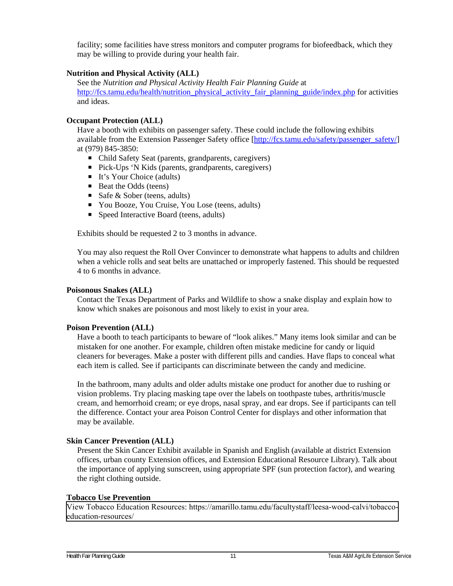facility; some facilities have stress monitors and computer programs for biofeedback, which they may be willing to provide during your health fair.

#### **Nutrition and Physical Activity (ALL)**

See the *Nutrition and Physical Activity Health Fair Planning Guide* at http://fcs.tamu.edu/health/nutrition\_physical\_activity\_fair\_planning\_guide/index.php for activities and ideas.

#### **Occupant Protection (ALL)**

Have a booth with exhibits on passenger safety. These could include the following exhibits available from the Extension Passenger Safety office [http://fcs.tamu.edu/safety/passenger\_safety/] at (979) 845-3850:

- P Child Safety Seat (parents, grandparents, caregivers)
- $\blacksquare$  Pick-Ups 'N Kids (parents, grandparents, caregivers)
- $\blacksquare$  It's Your Choice (adults)
- Beat the Odds (teens)
- $\blacksquare$  Safe & Sober (teens, adults)
- **P** You Booze, You Cruise, You Lose (teens, adults)
- Speed Interactive Board (teens, adults)

Exhibits should be requested 2 to 3 months in advance.

You may also request the Roll Over Convincer to demonstrate what happens to adults and children when a vehicle rolls and seat belts are unattached or improperly fastened. This should be requested 4 to 6 months in advance.

#### **Poisonous Snakes (ALL)**

Contact the Texas Department of Parks and Wildlife to show a snake display and explain how to know which snakes are poisonous and most likely to exist in your area.

#### **Poison Prevention (ALL)**

Have a booth to teach participants to beware of "look alikes." Many items look similar and can be mistaken for one another. For example, children often mistake medicine for candy or liquid cleaners for beverages. Make a poster with different pills and candies. Have flaps to conceal what each item is called. See if participants can discriminate between the candy and medicine.

In the bathroom, many adults and older adults mistake one product for another due to rushing or vision problems. Try placing masking tape over the labels on toothpaste tubes, arthritis/muscle cream, and hemorrhoid cream; or eye drops, nasal spray, and ear drops. See if participants can tell the difference. Contact your area Poison Control Center for displays and other information that may be available.

#### **Skin Cancer Prevention (ALL)**

Present the Skin Cancer Exhibit available in Spanish and English (available at district Extension offices, urban county Extension offices, and Extension Educational Resource Library). Talk about the importance of applying sunscreen, using appropriate SPF (sun protection factor), and wearing the right clothing outside.

#### **Tobacco Use Prevention**

[View Tobacco Education Resources: https://amarillo.tamu.edu/facultystaff/leesa-wood-calvi/tobacco](https://amarillo.tamu.edu/facultystaff/leesa-wood-calvi/tobacco-education-resources/)education-resources/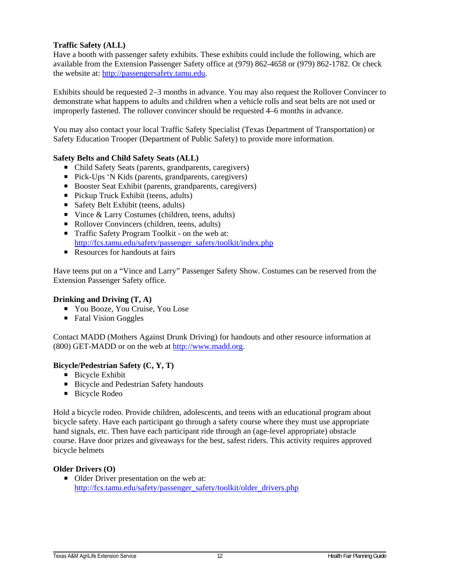#### **Traffic Safety (ALL)**

Have a booth with passenger safety exhibits. These exhibits could include the following, which are available from the Extension Passenger Safety office at (979) 862-4658 or (979) 862-1782. Or check the website at: http://passengersafety.tamu.edu.

Exhibits should be requested 2–3 months in advance. You may also request the Rollover Convincer to demonstrate what happens to adults and children when a vehicle rolls and seat belts are not used or improperly fastened. The rollover convincer should be requested 4–6 months in advance.

You may also contact your local Traffic Safety Specialist (Texas Department of Transportation) or Safety Education Trooper (Department of Public Safety) to provide more information.

#### **Safety Belts and Child Safety Seats (ALL)**

- Child Safety Seats (parents, grandparents, caregivers)
- $\blacksquare$  Pick-Ups 'N Kids (parents, grandparents, caregivers)
- Booster Seat Exhibit (parents, grandparents, caregivers)
- $\blacksquare$  Pickup Truck Exhibit (teens, adults)
- $\blacksquare$  Safety Belt Exhibit (teens, adults)
- $\blacksquare$  Vince & Larry Costumes (children, teens, adults)
- Rollover Convincers (children, teens, adults)
- **F** Traffic Safety Program Toolkit on the web at: http://fcs.tamu.edu/safety/passenger\_safety/toolkit/index.php
- Resources for handouts at fairs

Have teens put on a "Vince and Larry" Passenger Safety Show. Costumes can be reserved from the Extension Passenger Safety office.

#### **Drinking and Driving (T, A)**

- P You Booze, You Cruise, You Lose
- Fatal Vision Goggles

Contact MADD (Mothers Against Drunk Driving) for handouts and other resource information at (800) GET-MADD or on the web at http://www.madd.org.

#### **Bicycle/Pedestrian Safety (C, Y, T)**

- $\blacksquare$  Bicycle Exhibit
- Bicycle and Pedestrian Safety handouts
- $\blacksquare$  Bicycle Rodeo

Hold a bicycle rodeo. Provide children, adolescents, and teens with an educational program about bicycle safety. Have each participant go through a safety course where they must use appropriate hand signals, etc. Then have each participant ride through an (age-level appropriate) obstacle course. Have door prizes and giveaways for the best, safest riders. This activity requires approved bicycle helmets

#### **Older Drivers (O)**

• Older Driver presentation on the web at: http://fcs.tamu.edu/safety/passenger\_safety/toolkit/older\_drivers.php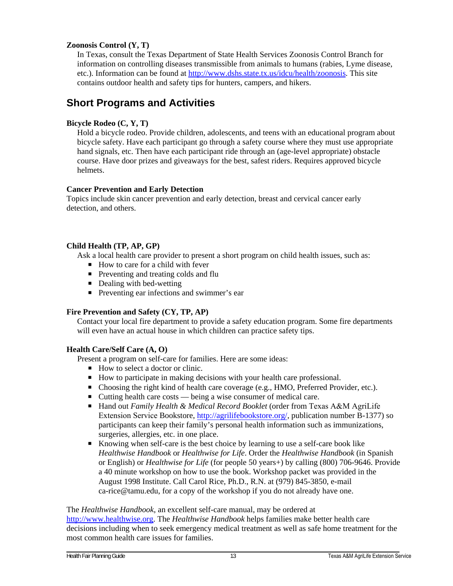#### **Zoonosis Control (Y, T)**

In Texas, consult the Texas Department of State Health Services Zoonosis Control Branch for information on controlling diseases transmissible from animals to humans (rabies, Lyme disease, etc.). Information can be found at http://www.dshs.state.tx.us/idcu/health/zoonosis. This site contains outdoor health and safety tips for hunters, campers, and hikers.

### **Short Programs and Activities**

#### **Bicycle Rodeo (C, Y, T)**

Hold a bicycle rodeo. Provide children, adolescents, and teens with an educational program about bicycle safety. Have each participant go through a safety course where they must use appropriate hand signals, etc. Then have each participant ride through an (age-level appropriate) obstacle course. Have door prizes and giveaways for the best, safest riders. Requires approved bicycle helmets.

#### **Cancer Prevention and Early Detection**

Topics include skin cancer prevention and early detection, breast and cervical cancer early detection, and others.

#### **Child Health (TP, AP, GP)**

Ask a local health care provider to present a short program on child health issues, such as:

- How to care for a child with fever
- $\blacksquare$  Preventing and treating colds and flu
- $\blacksquare$  Dealing with bed-wetting
- $\blacksquare$  Preventing ear infections and swimmer's ear

#### **Fire Prevention and Safety (CY, TP, AP)**

Contact your local fire department to provide a safety education program. Some fire departments will even have an actual house in which children can practice safety tips.

#### **Health Care/Self Care (A, O)**

Present a program on self-care for families. Here are some ideas:

- How to select a doctor or clinic.
- P How to participate in making decisions with your health care professional.
- Choosing the right kind of health care coverage (e.g., HMO, Preferred Provider, etc.).
- $\blacksquare$  Cutting health care costs being a wise consumer of medical care.
- Hand out *Family Health & Medical Record Booklet* (order from Texas A&M AgriLife Extension Service Bookstore, http://agrilifebookstore.org/, publication number B-1377) so participants can keep their family's personal health information such as immunizations, surgeries, allergies, etc. in one place.
- P Knowing when self-care is the best choice by learning to use a self-care book like *Healthwise Handbook* or *Healthwise for Life*. Order the *Healthwise Handbook* (in Spanish or English) or *Healthwise for Life* (for people 50 years+) by calling (800) 706-9646. Provide a 40 minute workshop on how to use the book. Workshop packet was provided in the August 1998 Institute. Call Carol Rice, Ph.D., R.N. at (979) 845-3850, e-mail ca-rice@tamu.edu, for a copy of the workshop if you do not already have one.

#### The *Healthwise Handbook*, an excellent self-care manual, may be ordered at

http://www.healthwise.org. The *Healthwise Handbook* helps families make better health care decisions including when to seek emergency medical treatment as well as safe home treatment for the most common health care issues for families.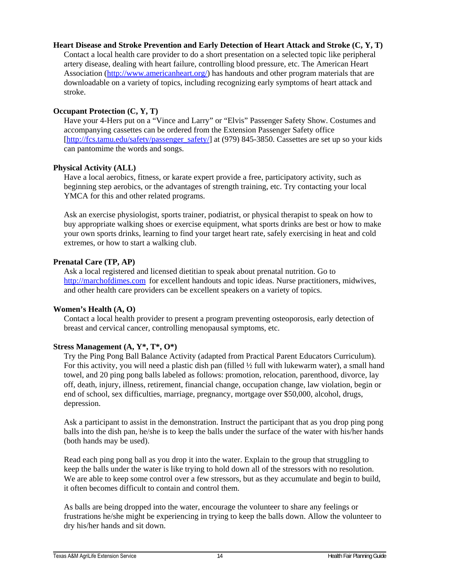#### **Heart Disease and Stroke Prevention and Early Detection of Heart Attack and Stroke (C, Y, T)**

Contact a local health care provider to do a short presentation on a selected topic like peripheral artery disease, dealing with heart failure, controlling blood pressure, etc. The American Heart Association (http://www.americanheart.org/) has handouts and other program materials that are downloadable on a variety of topics, including recognizing early symptoms of heart attack and stroke.

#### **Occupant Protection (C, Y, T)**

Have your 4-Hers put on a "Vince and Larry" or "Elvis" Passenger Safety Show. Costumes and accompanying cassettes can be ordered from the Extension Passenger Safety office [http://fcs.tamu.edu/safety/passenger\_safety/] at (979) 845-3850. Cassettes are set up so your kids can pantomime the words and songs.

#### **Physical Activity (ALL)**

Have a local aerobics, fitness, or karate expert provide a free, participatory activity, such as beginning step aerobics, or the advantages of strength training, etc. Try contacting your local YMCA for this and other related programs.

Ask an exercise physiologist, sports trainer, podiatrist, or physical therapist to speak on how to buy appropriate walking shoes or exercise equipment, what sports drinks are best or how to make your own sports drinks, learning to find your target heart rate, safely exercising in heat and cold extremes, or how to start a walking club.

#### **Prenatal Care (TP, AP)**

Ask a local registered and licensed dietitian to speak about prenatal nutrition. Go to http://marchofdimes.com for excellent handouts and topic ideas. Nurse practitioners, midwives, and other health care providers can be excellent speakers on a variety of topics.

#### **Women's Health (A, O)**

Contact a local health provider to present a program preventing osteoporosis, early detection of breast and cervical cancer, controlling menopausal symptoms, etc.

#### **Stress Management (A, Y\*, T\*, O\*)**

Try the Ping Pong Ball Balance Activity (adapted from Practical Parent Educators Curriculum). For this activity, you will need a plastic dish pan (filled ½ full with lukewarm water), a small hand towel, and 20 ping pong balls labeled as follows: promotion, relocation, parenthood, divorce, lay off, death, injury, illness, retirement, financial change, occupation change, law violation, begin or end of school, sex difficulties, marriage, pregnancy, mortgage over \$50,000, alcohol, drugs, depression.

Ask a participant to assist in the demonstration. Instruct the participant that as you drop ping pong balls into the dish pan, he/she is to keep the balls under the surface of the water with his/her hands (both hands may be used).

Read each ping pong ball as you drop it into the water. Explain to the group that struggling to keep the balls under the water is like trying to hold down all of the stressors with no resolution. We are able to keep some control over a few stressors, but as they accumulate and begin to build, it often becomes difficult to contain and control them.

As balls are being dropped into the water, encourage the volunteer to share any feelings or frustrations he/she might be experiencing in trying to keep the balls down. Allow the volunteer to dry his/her hands and sit down.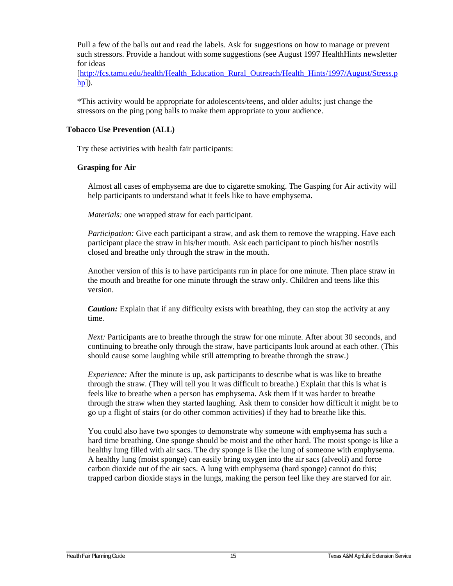Pull a few of the balls out and read the labels. Ask for suggestions on how to manage or prevent such stressors. Provide a handout with some suggestions (see August 1997 HealthHints newsletter for ideas

[http://fcs.tamu.edu/health/Health\_Education\_Rural\_Outreach/Health\_Hints/1997/August/Stress.p hp]).

\*This activity would be appropriate for adolescents/teens, and older adults; just change the stressors on the ping pong balls to make them appropriate to your audience.

#### **Tobacco Use Prevention (ALL)**

Try these activities with health fair participants:

#### **Grasping for Air**

Almost all cases of emphysema are due to cigarette smoking. The Gasping for Air activity will help participants to understand what it feels like to have emphysema.

*Materials:* one wrapped straw for each participant.

*Participation:* Give each participant a straw, and ask them to remove the wrapping. Have each participant place the straw in his/her mouth. Ask each participant to pinch his/her nostrils closed and breathe only through the straw in the mouth.

Another version of this is to have participants run in place for one minute. Then place straw in the mouth and breathe for one minute through the straw only. Children and teens like this version.

*Caution:* Explain that if any difficulty exists with breathing, they can stop the activity at any time.

*Next:* Participants are to breathe through the straw for one minute. After about 30 seconds, and continuing to breathe only through the straw, have participants look around at each other. (This should cause some laughing while still attempting to breathe through the straw.)

*Experience:* After the minute is up, ask participants to describe what is was like to breathe through the straw. (They will tell you it was difficult to breathe.) Explain that this is what is feels like to breathe when a person has emphysema. Ask them if it was harder to breathe through the straw when they started laughing. Ask them to consider how difficult it might be to go up a flight of stairs (or do other common activities) if they had to breathe like this.

You could also have two sponges to demonstrate why someone with emphysema has such a hard time breathing. One sponge should be moist and the other hard. The moist sponge is like a healthy lung filled with air sacs. The dry sponge is like the lung of someone with emphysema. A healthy lung (moist sponge) can easily bring oxygen into the air sacs (alveoli) and force carbon dioxide out of the air sacs. A lung with emphysema (hard sponge) cannot do this; trapped carbon dioxide stays in the lungs, making the person feel like they are starved for air.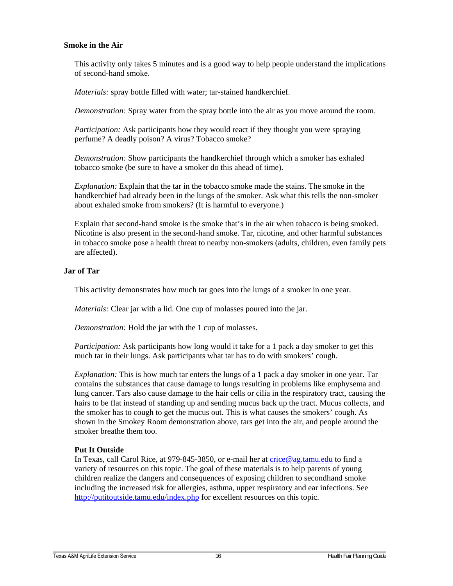#### **Smoke in the Air**

This activity only takes 5 minutes and is a good way to help people understand the implications of second-hand smoke.

*Materials:* spray bottle filled with water; tar-stained handkerchief.

*Demonstration:* Spray water from the spray bottle into the air as you move around the room.

*Participation:* Ask participants how they would react if they thought you were spraying perfume? A deadly poison? A virus? Tobacco smoke?

*Demonstration:* Show participants the handkerchief through which a smoker has exhaled tobacco smoke (be sure to have a smoker do this ahead of time).

*Explanation:* Explain that the tar in the tobacco smoke made the stains. The smoke in the handkerchief had already been in the lungs of the smoker. Ask what this tells the non-smoker about exhaled smoke from smokers? (It is harmful to everyone.)

Explain that second-hand smoke is the smoke that's in the air when tobacco is being smoked. Nicotine is also present in the second-hand smoke. Tar, nicotine, and other harmful substances in tobacco smoke pose a health threat to nearby non-smokers (adults, children, even family pets are affected).

#### **Jar of Tar**

This activity demonstrates how much tar goes into the lungs of a smoker in one year.

*Materials:* Clear jar with a lid. One cup of molasses poured into the jar.

*Demonstration:* Hold the jar with the 1 cup of molasses.

*Participation:* Ask participants how long would it take for a 1 pack a day smoker to get this much tar in their lungs. Ask participants what tar has to do with smokers' cough.

*Explanation:* This is how much tar enters the lungs of a 1 pack a day smoker in one year. Tar contains the substances that cause damage to lungs resulting in problems like emphysema and lung cancer. Tars also cause damage to the hair cells or cilia in the respiratory tract, causing the hairs to be flat instead of standing up and sending mucus back up the tract. Mucus collects, and the smoker has to cough to get the mucus out. This is what causes the smokers' cough. As shown in the Smokey Room demonstration above, tars get into the air, and people around the smoker breathe them too.

#### **Put It Outside**

In Texas, call Carol Rice, at 979-845-3850, or e-mail her at crice@ag.tamu.edu to find a variety of resources on this topic. The goal of these materials is to help parents of young children realize the dangers and consequences of exposing children to secondhand smoke including the increased risk for allergies, asthma, upper respiratory and ear infections. See http://putitoutside.tamu.edu/index.php for excellent resources on this topic.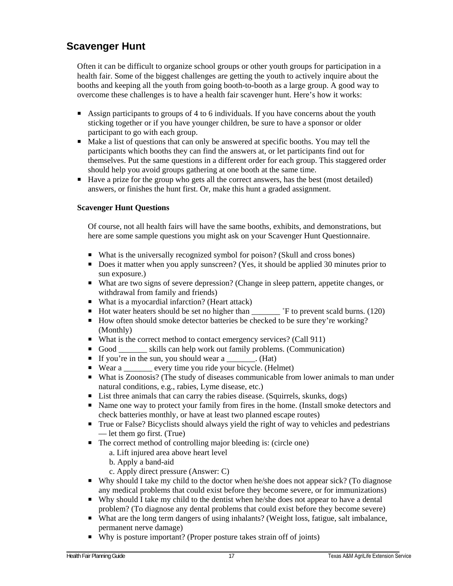## **Scavenger Hunt**

Often it can be difficult to organize school groups or other youth groups for participation in a health fair. Some of the biggest challenges are getting the youth to actively inquire about the booths and keeping all the youth from going booth-to-booth as a large group. A good way to overcome these challenges is to have a health fair scavenger hunt. Here's how it works:

- P Assign participants to groups of 4 to 6 individuals. If you have concerns about the youth sticking together or if you have younger children, be sure to have a sponsor or older participant to go with each group.
- P Make a list of questions that can only be answered at specific booths. You may tell the participants which booths they can find the answers at, or let participants find out for themselves. Put the same questions in a different order for each group. This staggered order should help you avoid groups gathering at one booth at the same time.
- P Have a prize for the group who gets all the correct answers, has the best (most detailed) answers, or finishes the hunt first. Or, make this hunt a graded assignment.

#### **Scavenger Hunt Questions**

Of course, not all health fairs will have the same booths, exhibits, and demonstrations, but here are some sample questions you might ask on your Scavenger Hunt Questionnaire.

- What is the universally recognized symbol for poison? (Skull and cross bones)
- **P** Does it matter when you apply sunscreen? (Yes, it should be applied 30 minutes prior to sun exposure.)
- P What are two signs of severe depression? (Change in sleep pattern, appetite changes, or withdrawal from family and friends)
- $\blacksquare$  What is a myocardial infarction? (Heart attack)
- $\blacksquare$  Hot water heaters should be set no higher than  $\blacktriangleright$  F to prevent scald burns. (120)
- How often should smoke detector batteries be checked to be sure they're working? (Monthly)
- What is the correct method to contact emergency services? (Call 911)
- Good \_\_\_\_\_\_\_\_\_ skills can help work out family problems. (Communication)
- If you're in the sun, you should wear a \_\_\_\_\_\_\_. (Hat)
- Wear a severy time you ride your bicycle. (Helmet)
- What is Zoonosis? (The study of diseases communicable from lower animals to man under natural conditions, e.g., rabies, Lyme disease, etc.)
- P List three animals that can carry the rabies disease. (Squirrels, skunks, dogs)
- P Name one way to protect your family from fires in the home. (Install smoke detectors and check batteries monthly, or have at least two planned escape routes)
- P True or False? Bicyclists should always yield the right of way to vehicles and pedestrians — let them go first. (True)
- The correct method of controlling major bleeding is: (circle one)
	- a. Lift injured area above heart level
	- b. Apply a band-aid
	- c. Apply direct pressure (Answer: C)
- P Why should I take my child to the doctor when he/she does not appear sick? (To diagnose any medical problems that could exist before they become severe, or for immunizations)
- P Why should I take my child to the dentist when he/she does not appear to have a dental problem? (To diagnose any dental problems that could exist before they become severe)
- P What are the long term dangers of using inhalants? (Weight loss, fatigue, salt imbalance, permanent nerve damage)
- Why is posture important? (Proper posture takes strain off of joints)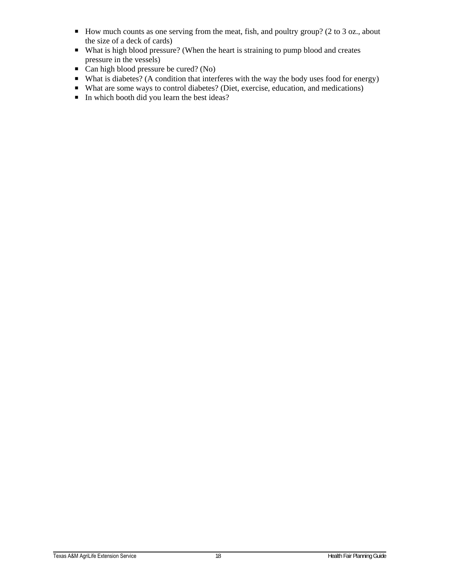- How much counts as one serving from the meat, fish, and poultry group? (2 to 3 oz., about the size of a deck of cards)
- P What is high blood pressure? (When the heart is straining to pump blood and creates pressure in the vessels)
- Can high blood pressure be cured? (No)
- $\bullet$  What is diabetes? (A condition that interferes with the way the body uses food for energy)
- $\blacksquare$  What are some ways to control diabetes? (Diet, exercise, education, and medications)
- $\blacksquare$  In which booth did you learn the best ideas?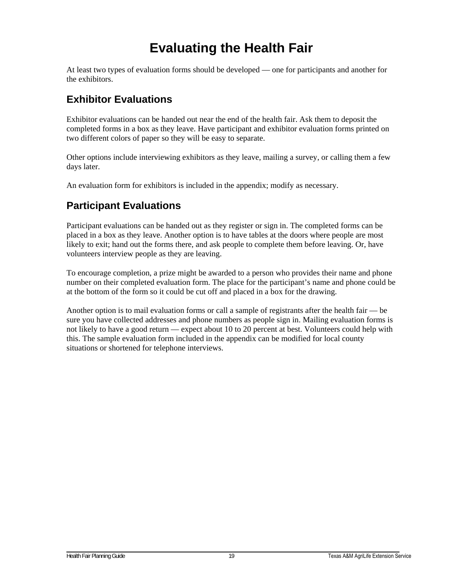## **Evaluating the Health Fair**

At least two types of evaluation forms should be developed — one for participants and another for the exhibitors.

### **Exhibitor Evaluations**

Exhibitor evaluations can be handed out near the end of the health fair. Ask them to deposit the completed forms in a box as they leave. Have participant and exhibitor evaluation forms printed on two different colors of paper so they will be easy to separate.

Other options include interviewing exhibitors as they leave, mailing a survey, or calling them a few days later.

An evaluation form for exhibitors is included in the appendix; modify as necessary.

## **Participant Evaluations**

Participant evaluations can be handed out as they register or sign in. The completed forms can be placed in a box as they leave. Another option is to have tables at the doors where people are most likely to exit; hand out the forms there, and ask people to complete them before leaving. Or, have volunteers interview people as they are leaving.

To encourage completion, a prize might be awarded to a person who provides their name and phone number on their completed evaluation form. The place for the participant's name and phone could be at the bottom of the form so it could be cut off and placed in a box for the drawing.

Another option is to mail evaluation forms or call a sample of registrants after the health fair — be sure you have collected addresses and phone numbers as people sign in. Mailing evaluation forms is not likely to have a good return — expect about 10 to 20 percent at best. Volunteers could help with this. The sample evaluation form included in the appendix can be modified for local county situations or shortened for telephone interviews.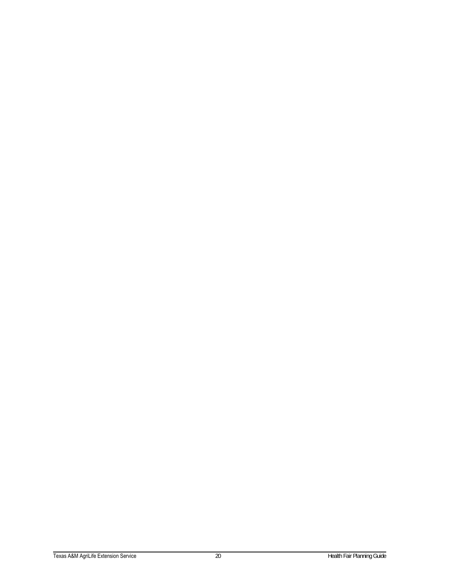#### Texas A&M AgriLife Extension Service 20 20 Health Fair Planning Guide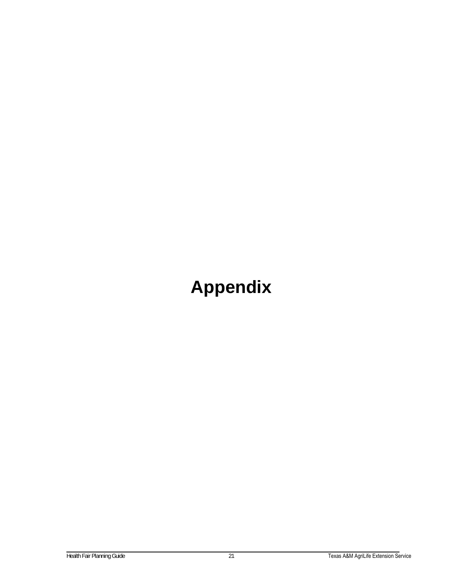## **Appendix**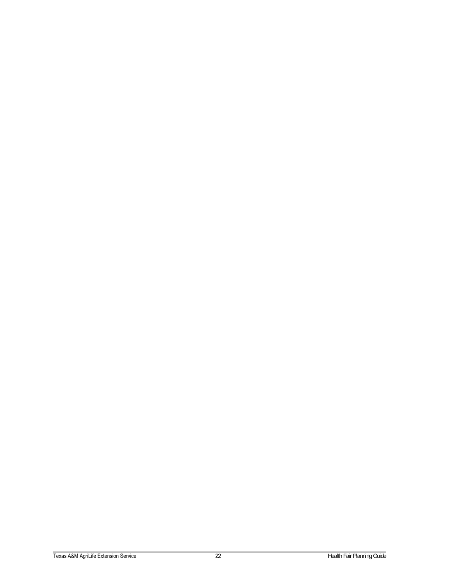#### Texas A&M AgriLife Extension Service 22 Health Fair Planning Guide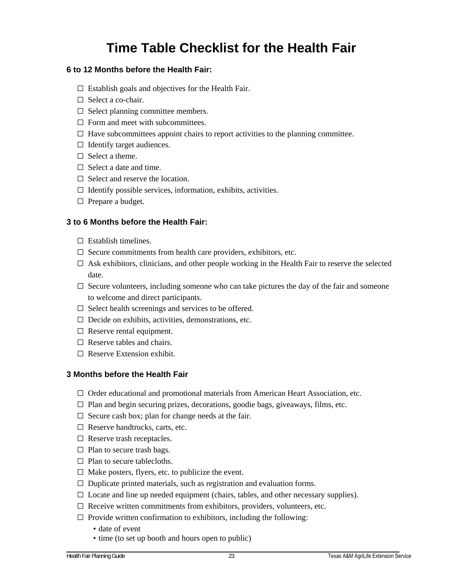## **Time Table Checklist for the Health Fair**

#### **6 to 12 Months before the Health Fair:**

- $\Box$  Establish goals and objectives for the Health Fair.
- $\Box$  Select a co-chair.
- $\Box$  Select planning committee members.
- $\Box$  Form and meet with subcommittees.
- $\Box$  Have subcommittees appoint chairs to report activities to the planning committee.
- $\Box$  Identify target audiences.
- $\Box$  Select a theme.
- $\Box$  Select a date and time.
- $\Box$  Select and reserve the location.
- $\Box$  Identify possible services, information, exhibits, activities.
- $\Box$  Prepare a budget.

#### **3 to 6 Months before the Health Fair:**

- $\Box$  Establish timelines.
- $\Box$  Secure commitments from health care providers, exhibitors, etc.
- $\Box$  Ask exhibitors, clinicians, and other people working in the Health Fair to reserve the selected date.
- $\Box$  Secure volunteers, including someone who can take pictures the day of the fair and someone to welcome and direct participants.
- $\Box$  Select health screenings and services to be offered.
- $\Box$  Decide on exhibits, activities, demonstrations, etc.
- $\Box$  Reserve rental equipment.
- $\Box$  Reserve tables and chairs.
- $\Box$  Reserve Extension exhibit.

#### **3 Months before the Health Fair**

- $\Box$  Order educational and promotional materials from American Heart Association, etc.
- $\Box$  Plan and begin securing prizes, decorations, goodie bags, giveaways, films, etc.
- $\Box$  Secure cash box; plan for change needs at the fair.
- $\Box$  Reserve handtrucks, carts, etc.
- $\Box$  Reserve trash receptacles.
- $\Box$  Plan to secure trash bags.
- $\Box$  Plan to secure tablecloths.
- $\Box$  Make posters, flyers, etc. to publicize the event.
- $\Box$  Duplicate printed materials, such as registration and evaluation forms.
- $\Box$  Locate and line up needed equipment (chairs, tables, and other necessary supplies).
- $\Box$  Receive written commitments from exhibitors, providers, volunteers, etc.
- $\Box$  Provide written confirmation to exhibitors, including the following:
	- date of event
	- time (to set up booth and hours open to public)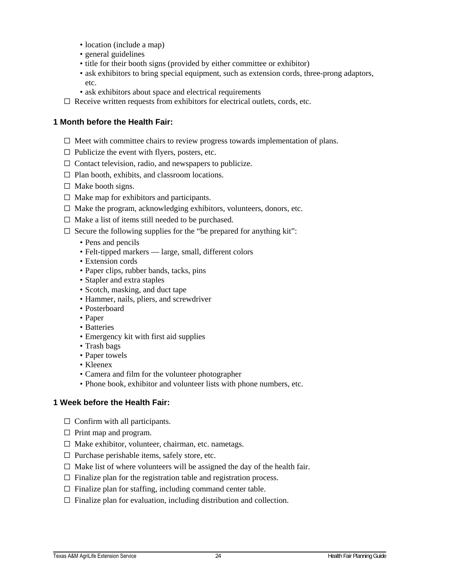- location (include a map)
- general guidelines
- title for their booth signs (provided by either committee or exhibitor)
- ask exhibitors to bring special equipment, such as extension cords, three-prong adaptors, etc.
- ask exhibitors about space and electrical requirements
- $\Box$  Receive written requests from exhibitors for electrical outlets, cords, etc.

#### **1 Month before the Health Fair:**

- $\Box$  Meet with committee chairs to review progress towards implementation of plans.
- $\Box$  Publicize the event with flyers, posters, etc.
- $\Box$  Contact television, radio, and newspapers to publicize.
- $\Box$  Plan booth, exhibits, and classroom locations.
- $\Box$  Make booth signs.
- $\Box$  Make map for exhibitors and participants.
- $\Box$  Make the program, acknowledging exhibitors, volunteers, donors, etc.
- $\Box$  Make a list of items still needed to be purchased.
- $\Box$  Secure the following supplies for the "be prepared for anything kit":
	- Pens and pencils
	- Felt-tipped markers large, small, different colors
	- Extension cords
	- Paper clips, rubber bands, tacks, pins
	- Stapler and extra staples
	- Scotch, masking, and duct tape
	- Hammer, nails, pliers, and screwdriver
	- Posterboard
	- Paper
	- Batteries
	- Emergency kit with first aid supplies
	- Trash bags
	- Paper towels
	- Kleenex
	- Camera and film for the volunteer photographer
	- Phone book, exhibitor and volunteer lists with phone numbers, etc.

#### **1 Week before the Health Fair:**

- $\Box$  Confirm with all participants.
- $\Box$  Print map and program.
- $\Box$  Make exhibitor, volunteer, chairman, etc. nametags.
- $\Box$  Purchase perishable items, safely store, etc.
- $\Box$  Make list of where volunteers will be assigned the day of the health fair.
- $\Box$  Finalize plan for the registration table and registration process.
- $\Box$  Finalize plan for staffing, including command center table.
- $\Box$  Finalize plan for evaluation, including distribution and collection.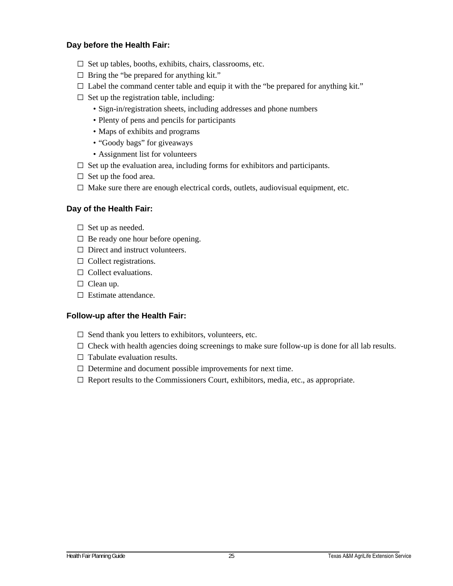#### **Day before the Health Fair:**

- $\Box$  Set up tables, booths, exhibits, chairs, classrooms, etc.
- $\Box$  Bring the "be prepared for anything kit."
- $\Box$  Label the command center table and equip it with the "be prepared for anything kit."
- $\Box$  Set up the registration table, including:
	- Sign-in/registration sheets, including addresses and phone numbers
	- Plenty of pens and pencils for participants
	- Maps of exhibits and programs
	- "Goody bags" for giveaways
	- Assignment list for volunteers
- $\Box$  Set up the evaluation area, including forms for exhibitors and participants.
- $\Box$  Set up the food area.
- $\Box$  Make sure there are enough electrical cords, outlets, audiovisual equipment, etc.

#### **Day of the Health Fair:**

- $\Box$  Set up as needed.
- $\Box$  Be ready one hour before opening.
- $\Box$  Direct and instruct volunteers.
- $\Box$  Collect registrations.
- $\Box$  Collect evaluations.
- $\Box$  Clean up.
- $\Box$  Estimate attendance.

#### **Follow-up after the Health Fair:**

- $\Box$  Send thank you letters to exhibitors, volunteers, etc.
- $\Box$  Check with health agencies doing screenings to make sure follow-up is done for all lab results.
- $\Box$  Tabulate evaluation results.
- $\Box$  Determine and document possible improvements for next time.
- $\Box$  Report results to the Commissioners Court, exhibitors, media, etc., as appropriate.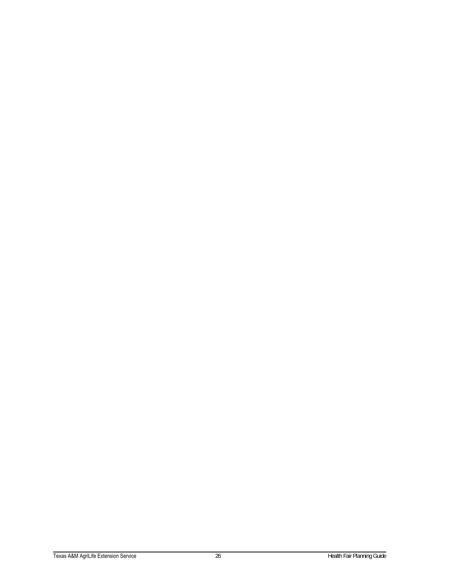#### Texas A&M AgriLife Extension Service 26 26 Health Fair Planning Guide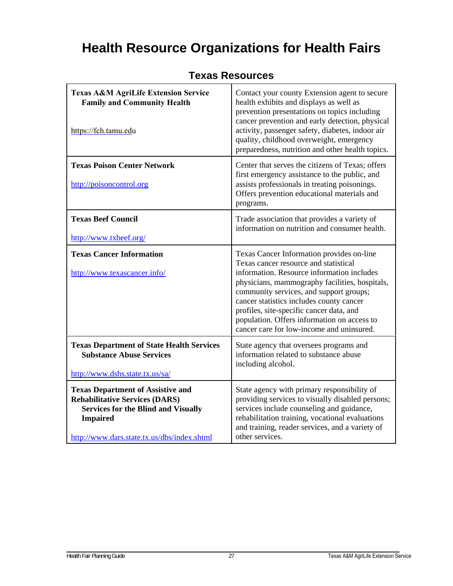## **Health Resource Organizations for Health Fairs**

| <b>Texas A&amp;M AgriLife Extension Service</b><br><b>Family and Community Health</b><br>https://fch.tamu.edu                                                                                     | Contact your county Extension agent to secure<br>health exhibits and displays as well as<br>prevention presentations on topics including<br>cancer prevention and early detection, physical<br>activity, passenger safety, diabetes, indoor air<br>quality, childhood overweight, emergency<br>preparedness, nutrition and other health topics.                                                                   |
|---------------------------------------------------------------------------------------------------------------------------------------------------------------------------------------------------|-------------------------------------------------------------------------------------------------------------------------------------------------------------------------------------------------------------------------------------------------------------------------------------------------------------------------------------------------------------------------------------------------------------------|
| <b>Texas Poison Center Network</b><br>http://poisoncontrol.org                                                                                                                                    | Center that serves the citizens of Texas; offers<br>first emergency assistance to the public, and<br>assists professionals in treating poisonings.<br>Offers prevention educational materials and<br>programs.                                                                                                                                                                                                    |
| <b>Texas Beef Council</b><br>http://www.txbeef.org/                                                                                                                                               | Trade association that provides a variety of<br>information on nutrition and consumer health.                                                                                                                                                                                                                                                                                                                     |
| <b>Texas Cancer Information</b><br>http://www.texascancer.info/                                                                                                                                   | Texas Cancer Information provides on-line<br>Texas cancer resource and statistical<br>information. Resource information includes<br>physicians, mammography facilities, hospitals,<br>community services, and support groups;<br>cancer statistics includes county cancer<br>profiles, site-specific cancer data, and<br>population. Offers information on access to<br>cancer care for low-income and uninsured. |
| <b>Texas Department of State Health Services</b><br><b>Substance Abuse Services</b><br>http://www.dshs.state.tx.us/sa/                                                                            | State agency that oversees programs and<br>information related to substance abuse<br>including alcohol.                                                                                                                                                                                                                                                                                                           |
| <b>Texas Department of Assistive and</b><br><b>Rehabilitative Services (DARS)</b><br><b>Services for the Blind and Visually</b><br><b>Impaired</b><br>http://www.dars.state.tx.us/dbs/index.shtml | State agency with primary responsibility of<br>providing services to visually disabled persons;<br>services include counseling and guidance,<br>rehabilitation training, vocational evaluations<br>and training, reader services, and a variety of<br>other services.                                                                                                                                             |

### **Texas Resources**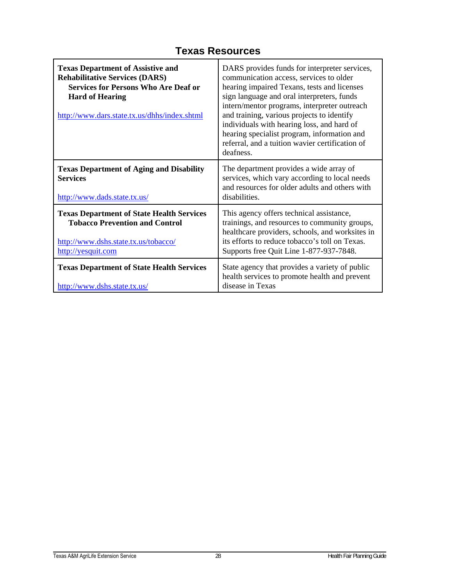## **Texas Resources**

| <b>Texas Department of Assistive and</b><br><b>Rehabilitative Services (DARS)</b><br><b>Services for Persons Who Are Deaf or</b><br><b>Hard of Hearing</b><br>http://www.dars.state.tx.us/dhhs/index.shtml | DARS provides funds for interpreter services,<br>communication access, services to older<br>hearing impaired Texans, tests and licenses<br>sign language and oral interpreters, funds<br>intern/mentor programs, interpreter outreach<br>and training, various projects to identify<br>individuals with hearing loss, and hard of<br>hearing specialist program, information and<br>referral, and a tuition wavier certification of<br>deafness. |
|------------------------------------------------------------------------------------------------------------------------------------------------------------------------------------------------------------|--------------------------------------------------------------------------------------------------------------------------------------------------------------------------------------------------------------------------------------------------------------------------------------------------------------------------------------------------------------------------------------------------------------------------------------------------|
| <b>Texas Department of Aging and Disability</b><br><b>Services</b><br>http://www.dads.state.tx.us/                                                                                                         | The department provides a wide array of<br>services, which vary according to local needs<br>and resources for older adults and others with<br>disabilities.                                                                                                                                                                                                                                                                                      |
| <b>Texas Department of State Health Services</b><br><b>Tobacco Prevention and Control</b><br>http://www.dshs.state.tx.us/tobacco/<br>http://yesquit.com                                                    | This agency offers technical assistance,<br>trainings, and resources to community groups,<br>healthcare providers, schools, and worksites in<br>its efforts to reduce tobacco's toll on Texas.<br>Supports free Quit Line 1-877-937-7848.                                                                                                                                                                                                        |
| <b>Texas Department of State Health Services</b><br>http://www.dshs.state.tx.us/                                                                                                                           | State agency that provides a variety of public<br>health services to promote health and prevent<br>disease in Texas                                                                                                                                                                                                                                                                                                                              |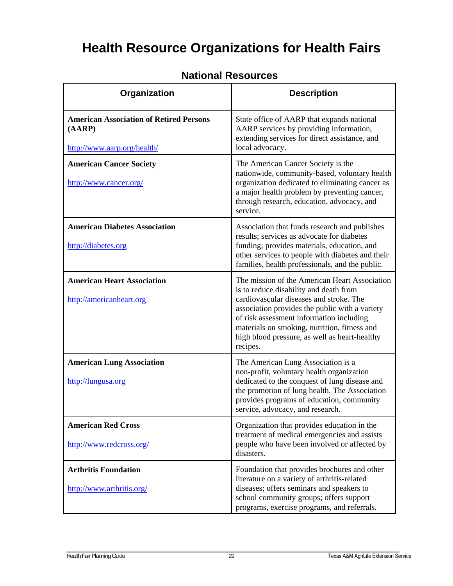## **Health Resource Organizations for Health Fairs**

| Organization                                                                            | <b>Description</b>                                                                                                                                                                                                                                                                                                                            |
|-----------------------------------------------------------------------------------------|-----------------------------------------------------------------------------------------------------------------------------------------------------------------------------------------------------------------------------------------------------------------------------------------------------------------------------------------------|
| <b>American Association of Retired Persons</b><br>(AARP)<br>http://www.aarp.org/health/ | State office of AARP that expands national<br>AARP services by providing information,<br>extending services for direct assistance, and<br>local advocacy.                                                                                                                                                                                     |
| <b>American Cancer Society</b><br>http://www.cancer.org/                                | The American Cancer Society is the<br>nationwide, community-based, voluntary health<br>organization dedicated to eliminating cancer as<br>a major health problem by preventing cancer,<br>through research, education, advocacy, and<br>service.                                                                                              |
| <b>American Diabetes Association</b><br>http://diabetes.org                             | Association that funds research and publishes<br>results; services as advocate for diabetes<br>funding; provides materials, education, and<br>other services to people with diabetes and their<br>families, health professionals, and the public.                                                                                             |
| <b>American Heart Association</b><br>http://americanheart.org                           | The mission of the American Heart Association<br>is to reduce disability and death from<br>cardiovascular diseases and stroke. The<br>association provides the public with a variety<br>of risk assessment information including<br>materials on smoking, nutrition, fitness and<br>high blood pressure, as well as heart-healthy<br>recipes. |
| <b>American Lung Association</b><br>http://lungusa.org                                  | The American Lung Association is a<br>non-profit, voluntary health organization<br>dedicated to the conquest of lung disease and<br>the promotion of lung health. The Association<br>provides programs of education, community<br>service, advocacy, and research.                                                                            |
| <b>American Red Cross</b><br>http://www.redcross.org/                                   | Organization that provides education in the<br>treatment of medical emergencies and assists<br>people who have been involved or affected by<br>disasters.                                                                                                                                                                                     |
| <b>Arthritis Foundation</b><br>http://www.arthritis.org/                                | Foundation that provides brochures and other<br>literature on a variety of arthritis-related<br>diseases; offers seminars and speakers to<br>school community groups; offers support<br>programs, exercise programs, and referrals.                                                                                                           |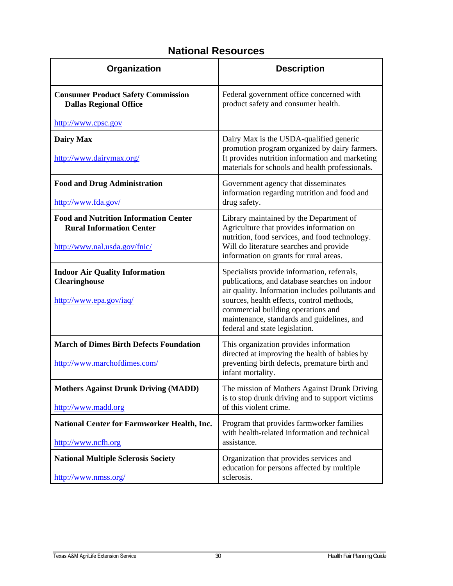| Organization                                                                                                     | <b>Description</b>                                                                                                                                                                                                                                                                                                  |
|------------------------------------------------------------------------------------------------------------------|---------------------------------------------------------------------------------------------------------------------------------------------------------------------------------------------------------------------------------------------------------------------------------------------------------------------|
| <b>Consumer Product Safety Commission</b><br><b>Dallas Regional Office</b>                                       | Federal government office concerned with<br>product safety and consumer health.                                                                                                                                                                                                                                     |
| http://www.cpsc.gov                                                                                              |                                                                                                                                                                                                                                                                                                                     |
| <b>Dairy Max</b><br>http://www.dairymax.org/                                                                     | Dairy Max is the USDA-qualified generic<br>promotion program organized by dairy farmers.<br>It provides nutrition information and marketing<br>materials for schools and health professionals.                                                                                                                      |
| <b>Food and Drug Administration</b><br>http://www.fda.gov/                                                       | Government agency that disseminates<br>information regarding nutrition and food and<br>drug safety.                                                                                                                                                                                                                 |
| <b>Food and Nutrition Information Center</b><br><b>Rural Information Center</b><br>http://www.nal.usda.gov/fnic/ | Library maintained by the Department of<br>Agriculture that provides information on<br>nutrition, food services, and food technology.<br>Will do literature searches and provide<br>information on grants for rural areas.                                                                                          |
| <b>Indoor Air Quality Information</b><br><b>Clearinghouse</b><br>http://www.epa.gov/iaq/                         | Specialists provide information, referrals,<br>publications, and database searches on indoor<br>air quality. Information includes pollutants and<br>sources, health effects, control methods,<br>commercial building operations and<br>maintenance, standards and guidelines, and<br>federal and state legislation. |
| <b>March of Dimes Birth Defects Foundation</b><br>http://www.marchofdimes.com/                                   | This organization provides information<br>directed at improving the health of babies by<br>preventing birth defects, premature birth and<br>infant mortality.                                                                                                                                                       |
| <b>Mothers Against Drunk Driving (MADD)</b><br>http://www.madd.org                                               | The mission of Mothers Against Drunk Driving<br>is to stop drunk driving and to support victims<br>of this violent crime.                                                                                                                                                                                           |
| National Center for Farmworker Health, Inc.<br>http://www.ncfh.org                                               | Program that provides farmworker families<br>with health-related information and technical<br>assistance.                                                                                                                                                                                                           |
| <b>National Multiple Sclerosis Society</b><br>http://www.nmss.org/                                               | Organization that provides services and<br>education for persons affected by multiple<br>sclerosis.                                                                                                                                                                                                                 |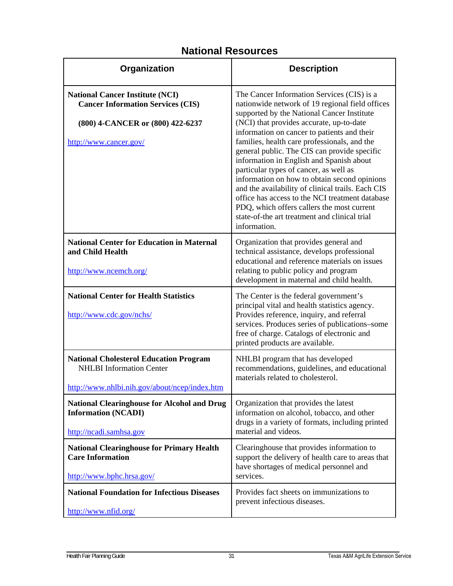| Organization                                                                                                                                     | <b>Description</b>                                                                                                                                                                                                                                                                                                                                                                                                                                                                                                                                                                                                                                                                                  |
|--------------------------------------------------------------------------------------------------------------------------------------------------|-----------------------------------------------------------------------------------------------------------------------------------------------------------------------------------------------------------------------------------------------------------------------------------------------------------------------------------------------------------------------------------------------------------------------------------------------------------------------------------------------------------------------------------------------------------------------------------------------------------------------------------------------------------------------------------------------------|
| <b>National Cancer Institute (NCI)</b><br><b>Cancer Information Services (CIS)</b><br>(800) 4-CANCER or (800) 422-6237<br>http://www.cancer.gov/ | The Cancer Information Services (CIS) is a<br>nationwide network of 19 regional field offices<br>supported by the National Cancer Institute<br>(NCI) that provides accurate, up-to-date<br>information on cancer to patients and their<br>families, health care professionals, and the<br>general public. The CIS can provide specific<br>information in English and Spanish about<br>particular types of cancer, as well as<br>information on how to obtain second opinions<br>and the availability of clinical trails. Each CIS<br>office has access to the NCI treatment database<br>PDQ, which offers callers the most current<br>state-of-the art treatment and clinical trial<br>information. |
| <b>National Center for Education in Maternal</b><br>and Child Health<br>http://www.ncemch.org/                                                   | Organization that provides general and<br>technical assistance, develops professional<br>educational and reference materials on issues<br>relating to public policy and program<br>development in maternal and child health.                                                                                                                                                                                                                                                                                                                                                                                                                                                                        |
| <b>National Center for Health Statistics</b><br>http://www.cdc.gov/nchs/                                                                         | The Center is the federal government's<br>principal vital and health statistics agency.<br>Provides reference, inquiry, and referral<br>services. Produces series of publications-some<br>free of charge. Catalogs of electronic and<br>printed products are available.                                                                                                                                                                                                                                                                                                                                                                                                                             |
| <b>National Cholesterol Education Program</b><br><b>NHLBI</b> Information Center<br>http://www.nhlbi.nih.gov/about/ncep/index.htm                | NHLBI program that has developed<br>recommendations, guidelines, and educational<br>materials related to cholesterol.                                                                                                                                                                                                                                                                                                                                                                                                                                                                                                                                                                               |
| <b>National Clearinghouse for Alcohol and Drug</b><br><b>Information (NCADI)</b><br>http://ncadi.samhsa.gov                                      | Organization that provides the latest<br>information on alcohol, tobacco, and other<br>drugs in a variety of formats, including printed<br>material and videos.                                                                                                                                                                                                                                                                                                                                                                                                                                                                                                                                     |
| <b>National Clearinghouse for Primary Health</b><br><b>Care Information</b><br>http://www.bphc.hrsa.gov/                                         | Clearinghouse that provides information to<br>support the delivery of health care to areas that<br>have shortages of medical personnel and<br>services.                                                                                                                                                                                                                                                                                                                                                                                                                                                                                                                                             |
| <b>National Foundation for Infectious Diseases</b><br>http://www.nfid.org/                                                                       | Provides fact sheets on immunizations to<br>prevent infectious diseases.                                                                                                                                                                                                                                                                                                                                                                                                                                                                                                                                                                                                                            |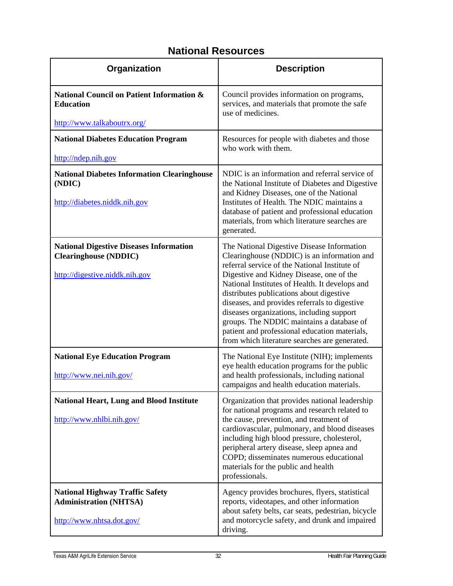| Organization                                                                                                     | <b>Description</b>                                                                                                                                                                                                                                                                                                                                                                                                                                                                                                                |
|------------------------------------------------------------------------------------------------------------------|-----------------------------------------------------------------------------------------------------------------------------------------------------------------------------------------------------------------------------------------------------------------------------------------------------------------------------------------------------------------------------------------------------------------------------------------------------------------------------------------------------------------------------------|
| <b>National Council on Patient Information &amp;</b><br><b>Education</b><br>http://www.talkaboutrx.org/          | Council provides information on programs,<br>services, and materials that promote the safe<br>use of medicines.                                                                                                                                                                                                                                                                                                                                                                                                                   |
| <b>National Diabetes Education Program</b>                                                                       | Resources for people with diabetes and those                                                                                                                                                                                                                                                                                                                                                                                                                                                                                      |
| http://ndep.nih.gov                                                                                              | who work with them.                                                                                                                                                                                                                                                                                                                                                                                                                                                                                                               |
| <b>National Diabetes Information Clearinghouse</b><br>(NDIC)<br>http://diabetes.niddk.nih.gov                    | NDIC is an information and referral service of<br>the National Institute of Diabetes and Digestive<br>and Kidney Diseases, one of the National<br>Institutes of Health. The NDIC maintains a<br>database of patient and professional education<br>materials, from which literature searches are<br>generated.                                                                                                                                                                                                                     |
| <b>National Digestive Diseases Information</b><br><b>Clearinghouse (NDDIC)</b><br>http://digestive.niddk.nih.gov | The National Digestive Disease Information<br>Clearinghouse (NDDIC) is an information and<br>referral service of the National Institute of<br>Digestive and Kidney Disease, one of the<br>National Institutes of Health. It develops and<br>distributes publications about digestive<br>diseases, and provides referrals to digestive<br>diseases organizations, including support<br>groups. The NDDIC maintains a database of<br>patient and professional education materials,<br>from which literature searches are generated. |
| <b>National Eye Education Program</b><br>http://www.nei.nih.gov/                                                 | The National Eye Institute (NIH); implements<br>eye health education programs for the public<br>and health professionals, including national<br>campaigns and health education materials.                                                                                                                                                                                                                                                                                                                                         |
| <b>National Heart, Lung and Blood Institute</b><br>http://www.nhlbi.nih.gov/                                     | Organization that provides national leadership<br>for national programs and research related to<br>the cause, prevention, and treatment of<br>cardiovascular, pulmonary, and blood diseases<br>including high blood pressure, cholesterol,<br>peripheral artery disease, sleep apnea and<br>COPD; disseminates numerous educational<br>materials for the public and health<br>professionals.                                                                                                                                      |
| <b>National Highway Traffic Safety</b><br><b>Administration (NHTSA)</b><br>http://www.nhtsa.dot.gov/             | Agency provides brochures, flyers, statistical<br>reports, videotapes, and other information<br>about safety belts, car seats, pedestrian, bicycle<br>and motorcycle safety, and drunk and impaired<br>driving.                                                                                                                                                                                                                                                                                                                   |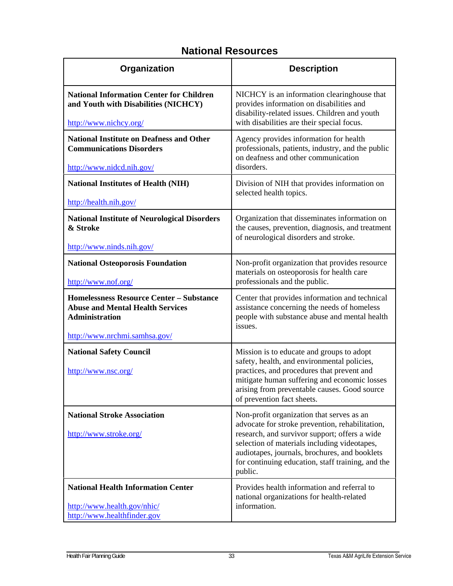| Organization                                                                                                                                         | <b>Description</b>                                                                                                                                                                                                                                                                                             |
|------------------------------------------------------------------------------------------------------------------------------------------------------|----------------------------------------------------------------------------------------------------------------------------------------------------------------------------------------------------------------------------------------------------------------------------------------------------------------|
| <b>National Information Center for Children</b><br>and Youth with Disabilities (NICHCY)<br>http://www.nichcy.org/                                    | NICHCY is an information clearinghouse that<br>provides information on disabilities and<br>disability-related issues. Children and youth<br>with disabilities are their special focus.                                                                                                                         |
| <b>National Institute on Deafness and Other</b><br><b>Communications Disorders</b><br>http://www.nidcd.nih.gov/                                      | Agency provides information for health<br>professionals, patients, industry, and the public<br>on deafness and other communication<br>disorders.                                                                                                                                                               |
| <b>National Institutes of Health (NIH)</b><br>http://health.nih.gov/                                                                                 | Division of NIH that provides information on<br>selected health topics.                                                                                                                                                                                                                                        |
| <b>National Institute of Neurological Disorders</b><br>& Stroke<br>http://www.ninds.nih.gov/                                                         | Organization that disseminates information on<br>the causes, prevention, diagnosis, and treatment<br>of neurological disorders and stroke.                                                                                                                                                                     |
| <b>National Osteoporosis Foundation</b><br>http://www.nof.org/                                                                                       | Non-profit organization that provides resource<br>materials on osteoporosis for health care<br>professionals and the public.                                                                                                                                                                                   |
| <b>Homelessness Resource Center - Substance</b><br><b>Abuse and Mental Health Services</b><br><b>Administration</b><br>http://www.nrchmi.samhsa.gov/ | Center that provides information and technical<br>assistance concerning the needs of homeless<br>people with substance abuse and mental health<br>issues.                                                                                                                                                      |
| <b>National Safety Council</b><br>http://www.nsc.org/                                                                                                | Mission is to educate and groups to adopt<br>safety, health, and environmental policies,<br>practices, and procedures that prevent and<br>mitigate human suffering and economic losses<br>arising from preventable causes. Good source<br>of prevention fact sheets.                                           |
| <b>National Stroke Association</b><br>http://www.stroke.org/                                                                                         | Non-profit organization that serves as an<br>advocate for stroke prevention, rehabilitation,<br>research, and survivor support; offers a wide<br>selection of materials including videotapes,<br>audiotapes, journals, brochures, and booklets<br>for continuing education, staff training, and the<br>public. |
| <b>National Health Information Center</b><br>http://www.health.gov/nhic/<br>http://www.healthfinder.gov                                              | Provides health information and referral to<br>national organizations for health-related<br>information.                                                                                                                                                                                                       |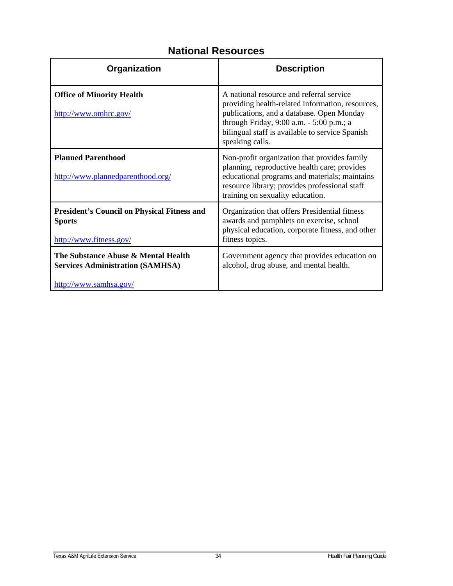| Organization                                                                                             | <b>Description</b>                                                                                                                                                                                                                                          |
|----------------------------------------------------------------------------------------------------------|-------------------------------------------------------------------------------------------------------------------------------------------------------------------------------------------------------------------------------------------------------------|
| <b>Office of Minority Health</b><br>http://www.omhrc.gov/                                                | A national resource and referral service<br>providing health-related information, resources,<br>publications, and a database. Open Monday<br>through Friday, 9:00 a.m. - 5:00 p.m.; a<br>bilingual staff is available to service Spanish<br>speaking calls. |
| <b>Planned Parenthood</b><br>http://www.plannedparenthood.org/                                           | Non-profit organization that provides family<br>planning, reproductive health care; provides<br>educational programs and materials; maintains<br>resource library; provides professional staff<br>training on sexuality education.                          |
| <b>President's Council on Physical Fitness and</b><br><b>Sports</b><br>http://www.fitness.gov/           | Organization that offers Presidential fitness<br>awards and pamphlets on exercise, school<br>physical education, corporate fitness, and other<br>fitness topics.                                                                                            |
| The Substance Abuse & Mental Health<br><b>Services Administration (SAMHSA)</b><br>http://www.samhsa.gov/ | Government agency that provides education on<br>alcohol, drug abuse, and mental health.                                                                                                                                                                     |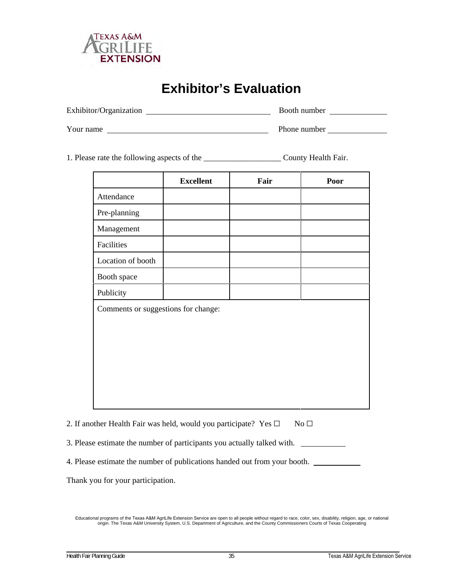

## **Exhibitor's Evaluation**

| Exhibitor/Organization | Booth number |
|------------------------|--------------|
| Your name              | Phone number |

1. Please rate the following aspects of the \_\_\_\_\_\_\_\_\_\_\_\_\_\_\_\_\_\_\_ County Health Fair.

|                                     | <b>Excellent</b> | Fair | Poor |  |
|-------------------------------------|------------------|------|------|--|
| Attendance                          |                  |      |      |  |
| Pre-planning                        |                  |      |      |  |
| Management                          |                  |      |      |  |
| Facilities                          |                  |      |      |  |
| Location of booth                   |                  |      |      |  |
| Booth space                         |                  |      |      |  |
| Publicity                           |                  |      |      |  |
| Comments or suggestions for change: |                  |      |      |  |
|                                     |                  |      |      |  |
|                                     |                  |      |      |  |
|                                     |                  |      |      |  |
|                                     |                  |      |      |  |
|                                     |                  |      |      |  |
|                                     |                  |      |      |  |

2. If another Health Fair was held, would you participate? Yes  $\square$  No  $\square$ 

3. Please estimate the number of participants you actually talked with.

4. Please estimate the number of publications handed out from your booth.

Thank you for your participation.

Educational programs of the Texas A&M AgriLife Extension Service are open to all people without regard to race, color, sex, disability, religion, age, or national origin. The Texas A&M University System, U.S. Department of Agriculture, and the County Commissioners Courts of Texas Cooperating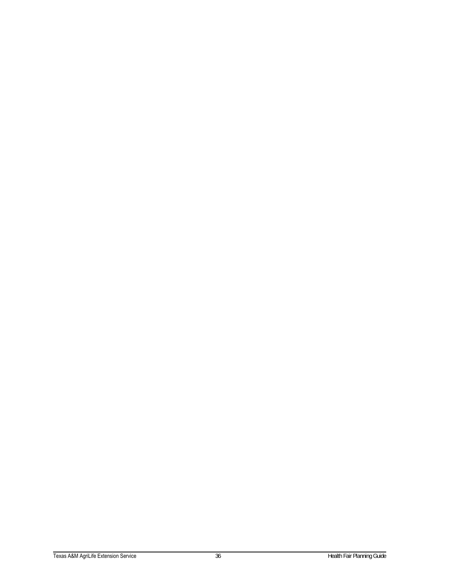#### Texas A&M AgriLife Extension Service 36 36 Health Fair Planning Guide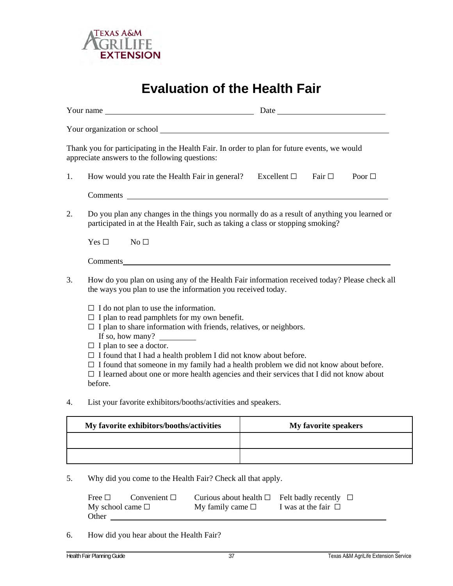

## **Evaluation of the Health Fair**

|                                                                                                                                                                    | Thank you for participating in the Health Fair. In order to plan for future events, we would<br>appreciate answers to the following questions:                                                                                                                                                                                                                                                                                                                                                                                 |  |                             |             |
|--------------------------------------------------------------------------------------------------------------------------------------------------------------------|--------------------------------------------------------------------------------------------------------------------------------------------------------------------------------------------------------------------------------------------------------------------------------------------------------------------------------------------------------------------------------------------------------------------------------------------------------------------------------------------------------------------------------|--|-----------------------------|-------------|
| 1.                                                                                                                                                                 | How would you rate the Health Fair in general? Excellent $\square$ Fair $\square$                                                                                                                                                                                                                                                                                                                                                                                                                                              |  |                             | Poor $\Box$ |
|                                                                                                                                                                    | Comments Comments                                                                                                                                                                                                                                                                                                                                                                                                                                                                                                              |  |                             |             |
| 2.                                                                                                                                                                 | Do you plan any changes in the things you normally do as a result of anything you learned or<br>participated in at the Health Fair, such as taking a class or stopping smoking?                                                                                                                                                                                                                                                                                                                                                |  |                             |             |
|                                                                                                                                                                    | Yes $\Box$<br>No <sub>1</sub>                                                                                                                                                                                                                                                                                                                                                                                                                                                                                                  |  |                             |             |
|                                                                                                                                                                    | Comments Comments                                                                                                                                                                                                                                                                                                                                                                                                                                                                                                              |  |                             |             |
| 3.<br>How do you plan on using any of the Health Fair information received today? Please check all<br>the ways you plan to use the information you received today. |                                                                                                                                                                                                                                                                                                                                                                                                                                                                                                                                |  |                             |             |
|                                                                                                                                                                    | $\Box$ I do not plan to use the information.<br>$\Box$ I plan to read pamphlets for my own benefit.<br>$\Box$ I plan to share information with friends, relatives, or neighbors.<br>If so, how many?<br>$\Box$ I plan to see a doctor.<br>$\Box$ I found that I had a health problem I did not know about before.<br>$\Box$ I found that someone in my family had a health problem we did not know about before.<br>$\Box$ I learned about one or more health agencies and their services that I did not know about<br>before. |  |                             |             |
| 4.                                                                                                                                                                 | List your favorite exhibitors/booths/activities and speakers.                                                                                                                                                                                                                                                                                                                                                                                                                                                                  |  |                             |             |
|                                                                                                                                                                    | My favorite exhibitors/booths/activities                                                                                                                                                                                                                                                                                                                                                                                                                                                                                       |  | <b>My favorite speakers</b> |             |
|                                                                                                                                                                    |                                                                                                                                                                                                                                                                                                                                                                                                                                                                                                                                |  |                             |             |
|                                                                                                                                                                    |                                                                                                                                                                                                                                                                                                                                                                                                                                                                                                                                |  |                             |             |

5. Why did you come to the Health Fair? Check all that apply.

| Free $\square$<br>Convenient $\square$ | Curious about health $\Box$ | Felt badly recently $\Box$ |
|----------------------------------------|-----------------------------|----------------------------|
| My school came $\square$               | My family came $\Box$       | I was at the fair $\Box$   |
| Other                                  |                             |                            |

6. How did you hear about the Health Fair?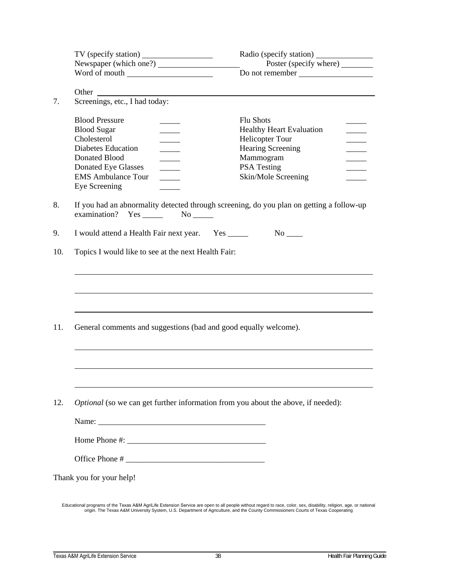|     |                                                                                                                                               | Do not remember                       |  |  |
|-----|-----------------------------------------------------------------------------------------------------------------------------------------------|---------------------------------------|--|--|
|     |                                                                                                                                               |                                       |  |  |
| 7.  | Other<br>Screenings, etc., I had today:                                                                                                       |                                       |  |  |
|     | <b>Blood Pressure</b>                                                                                                                         | <b>Flu Shots</b>                      |  |  |
|     | <b>Blood Sugar</b>                                                                                                                            | <b>Healthy Heart Evaluation</b>       |  |  |
|     | Cholesterol                                                                                                                                   | Helicopter Tour                       |  |  |
|     | <b>Diabetes Education</b>                                                                                                                     |                                       |  |  |
|     | $\mathcal{L} = \{ \mathcal{L} \}$<br>Donated Blood                                                                                            | <b>Hearing Screening</b><br>Mammogram |  |  |
|     |                                                                                                                                               |                                       |  |  |
|     | Donated Eye Glasses<br>_____                                                                                                                  | <b>PSA</b> Testing                    |  |  |
|     | <b>EMS</b> Ambulance Tour<br>$\overline{\phantom{a}}$                                                                                         | Skin/Mole Screening                   |  |  |
|     | Eye Screening                                                                                                                                 |                                       |  |  |
| 8.  | If you had an abnormality detected through screening, do you plan on getting a follow-up<br>examination? Yes ______<br>$No$ <sub>______</sub> |                                       |  |  |
| 9.  | I would attend a Health Fair next year. Yes _____                                                                                             |                                       |  |  |
| 10. | Topics I would like to see at the next Health Fair:                                                                                           |                                       |  |  |
|     |                                                                                                                                               |                                       |  |  |
|     |                                                                                                                                               |                                       |  |  |
|     |                                                                                                                                               |                                       |  |  |
|     |                                                                                                                                               |                                       |  |  |
| 11. | General comments and suggestions (bad and good equally welcome).                                                                              |                                       |  |  |
|     |                                                                                                                                               |                                       |  |  |
|     |                                                                                                                                               |                                       |  |  |
|     |                                                                                                                                               |                                       |  |  |
|     |                                                                                                                                               |                                       |  |  |
| 12. | Optional (so we can get further information from you about the above, if needed):                                                             |                                       |  |  |
|     |                                                                                                                                               |                                       |  |  |
|     |                                                                                                                                               |                                       |  |  |
|     | Office Phone #                                                                                                                                |                                       |  |  |
|     | Thank you for your help!                                                                                                                      |                                       |  |  |

Educational programs of the Texas A&M AgriLife Extension Service are open to all people without regard to race, color, sex, disability, religion, age, or national<br>origin. The Texas A&M University System, U.S. Department of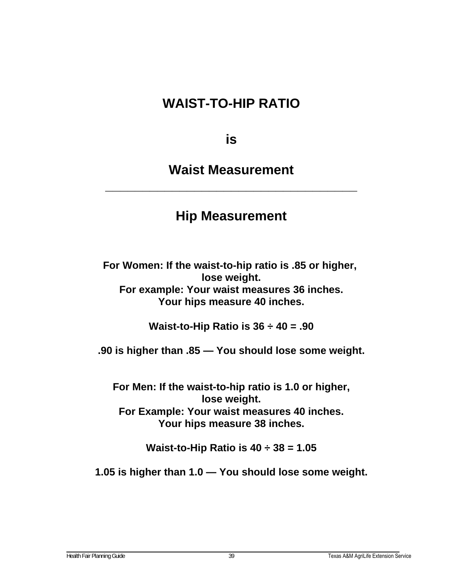## **WAIST-TO-HIP RATIO**

**is**

**Waist Measurement**

**\_\_\_\_\_\_\_\_\_\_\_\_\_\_\_\_\_\_\_\_\_\_\_\_\_\_\_\_\_\_\_\_\_\_**

## **Hip Measurement**

**For Women: If the waist-to-hip ratio is .85 or higher, lose weight. For example: Your waist measures 36 inches. Your hips measure 40 inches.**

**Waist-to-Hip Ratio is 36 ÷ 40 = .90**

**.90 is higher than .85 — You should lose some weight.**

**For Men: If the waist-to-hip ratio is 1.0 or higher, lose weight. For Example: Your waist measures 40 inches. Your hips measure 38 inches.**

**Waist-to-Hip Ratio is 40 ÷ 38 = 1.05**

**1.05 is higher than 1.0 — You should lose some weight.**